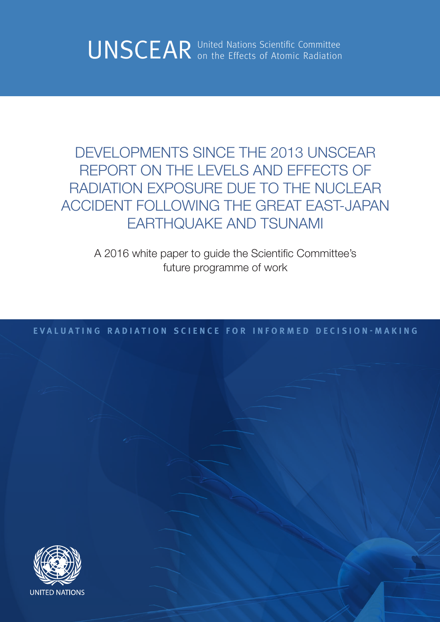UNSCEAR United Nations Scientific Committee Committee

DEVELOPMENTS SINCE THE 2013 UNSCEAR REPORT ON THE LEVELS AND EFFECTS OF RADIATION EXPOSURE DUE TO THE NUCLEAR ACCIDENT FOLLOWING THE GREAT EAST-JAPAN EARTHQUAKE AND TSUNAMI

A 2016 white paper to guide the Scientific Committee's future programme of work

**EVALUATING RADIATION SCIENCE FOR INFORMED DECISION-MAKING**

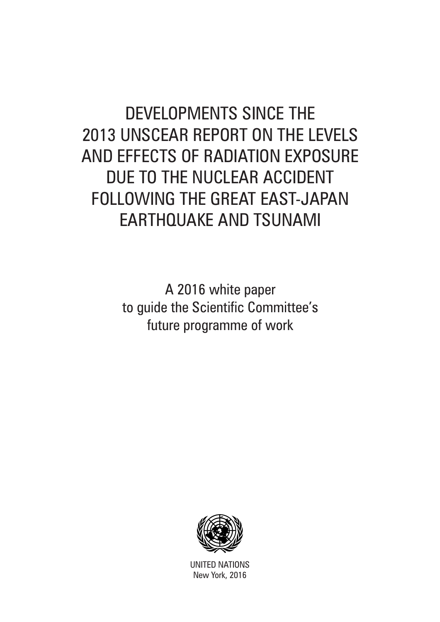# DEVELOPMENTS SINCE THE 2013 UNSCEAR REPORT ON THE LEVELS AND EFFECTS OF RADIATION EXPOSURE DUE TO THE NUCLEAR ACCIDENT FOLLOWING THE GREAT EAST-JAPAN EARTHQUAKE AND TSUNAMI

A 2016 white paper to guide the Scientific Committee's future programme of work



UNITED NATIONS New York, 2016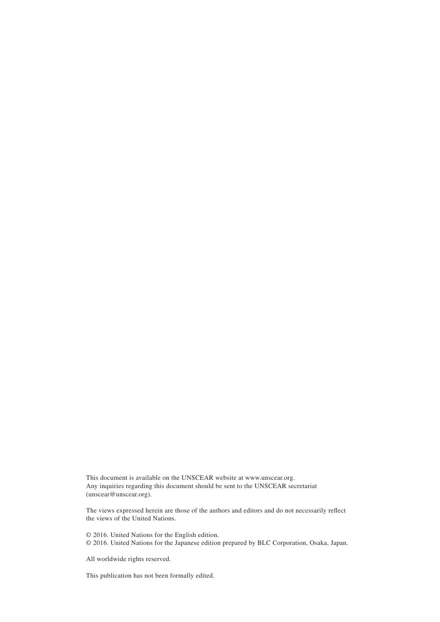This document is available on the UNSCEAR website at www.unscear.org. Any inquiries regarding this document should be sent to the UNSCEAR secretariat (unscear@unscear.org).

The views expressed herein are those of the authors and editors and do not necessarily reflect the views of the United Nations.

© 2016. United Nations for the English edition. © 2016. United Nations for the Japanese edition prepared by BLC Corporation, Osaka, Japan.

All worldwide rights reserved.

This publication has not been formally edited.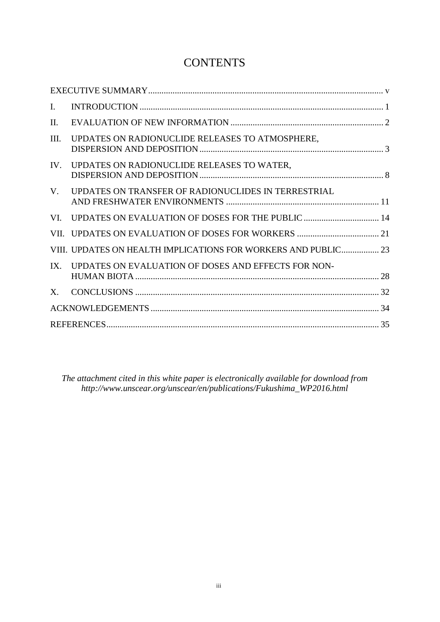# **CONTENTS**

| I.   |                                                                |  |  |  |
|------|----------------------------------------------------------------|--|--|--|
| II.  |                                                                |  |  |  |
| III. | UPDATES ON RADIONUCLIDE RELEASES TO ATMOSPHERE,                |  |  |  |
| IV.  | UPDATES ON RADIONUCLIDE RELEASES TO WATER,                     |  |  |  |
| V.   | UPDATES ON TRANSFER OF RADIONUCLIDES IN TERRESTRIAL            |  |  |  |
| VI.  | UPDATES ON EVALUATION OF DOSES FOR THE PUBLIC  14              |  |  |  |
|      |                                                                |  |  |  |
|      | VIII. UPDATES ON HEALTH IMPLICATIONS FOR WORKERS AND PUBLIC 23 |  |  |  |
| IX   | UPDATES ON EVALUATION OF DOSES AND EFFECTS FOR NON-            |  |  |  |
| X.   |                                                                |  |  |  |
|      |                                                                |  |  |  |
|      |                                                                |  |  |  |

*The attachment cited in this white paper is electronically available for download from http://www.unscear.org/unscear/en/publications/Fukushima\_WP2016.html*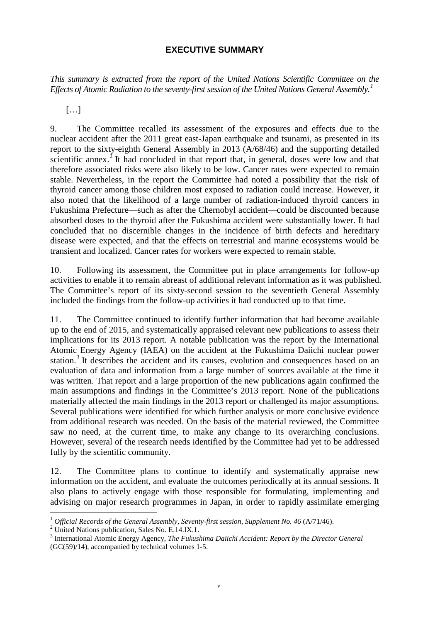#### **EXECUTIVE SUMMARY**

<span id="page-6-0"></span>*This summary is extracted from the report of the United Nations Scientific Committee on the Effects of Atomic Radiation to the seventy-first session of the United Nations General Assembly. [1](#page-6-1)* 

 $[\ldots]$ 

9. The Committee recalled its assessment of the exposures and effects due to the nuclear accident after the 2011 great east-Japan earthquake and tsunami, as presented in its report to the sixty-eighth General Assembly in 2013 (A/68/46) and the supporting detailed scientific annex.<sup>[2](#page-6-2)</sup> It had concluded in that report that, in general, doses were low and that therefore associated risks were also likely to be low. Cancer rates were expected to remain stable. Nevertheless, in the report the Committee had noted a possibility that the risk of thyroid cancer among those children most exposed to radiation could increase. However, it also noted that the likelihood of a large number of radiation-induced thyroid cancers in Fukushima Prefecture—such as after the Chernobyl accident—could be discounted because absorbed doses to the thyroid after the Fukushima accident were substantially lower. It had concluded that no discernible changes in the incidence of birth defects and hereditary disease were expected, and that the effects on terrestrial and marine ecosystems would be transient and localized. Cancer rates for workers were expected to remain stable.

10. Following its assessment, the Committee put in place arrangements for follow-up activities to enable it to remain abreast of additional relevant information as it was published. The Committee's report of its sixty-second session to the seventieth General Assembly included the findings from the follow-up activities it had conducted up to that time.

11. The Committee continued to identify further information that had become available up to the end of 2015, and systematically appraised relevant new publications to assess their implications for its 2013 report. A notable publication was the report by the International Atomic Energy Agency (IAEA) on the accident at the Fukushima Daiichi nuclear power station.<sup>[3](#page-6-3)</sup> It describes the accident and its causes, evolution and consequences based on an evaluation of data and information from a large number of sources available at the time it was written. That report and a large proportion of the new publications again confirmed the main assumptions and findings in the Committee's 2013 report. None of the publications materially affected the main findings in the 2013 report or challenged its major assumptions. Several publications were identified for which further analysis or more conclusive evidence from additional research was needed. On the basis of the material reviewed, the Committee saw no need, at the current time, to make any change to its overarching conclusions. However, several of the research needs identified by the Committee had yet to be addressed fully by the scientific community.

12. The Committee plans to continue to identify and systematically appraise new information on the accident, and evaluate the outcomes periodically at its annual sessions. It also plans to actively engage with those responsible for formulating, implementing and advising on major research programmes in Japan, in order to rapidly assimilate emerging

<span id="page-6-1"></span><sup>&</sup>lt;sup>1</sup> *Official Records of the General Assembly, Seventy-first session, Supplement No. 46 (A/71/46).* <sup>2</sup> United Nations publication, Sales No. E.14.IX.1.

<span id="page-6-2"></span>

<span id="page-6-3"></span><sup>3</sup> International Atomic Energy Agency, *The Fukushima Daiichi Accident: Report by the Director General* (GC(59)/14), accompanied by technical volumes 1-5.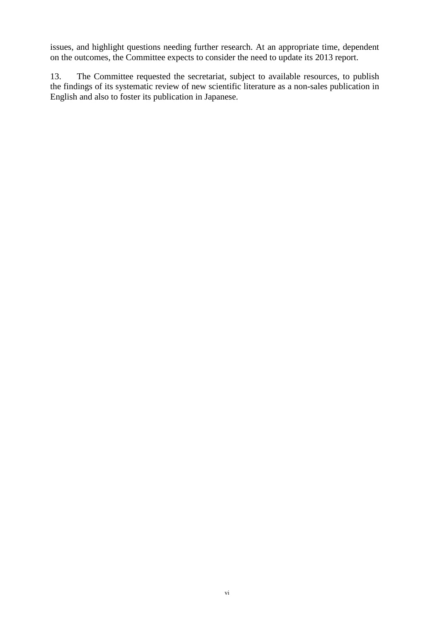issues, and highlight questions needing further research. At an appropriate time, dependent on the outcomes, the Committee expects to consider the need to update its 2013 report.

13. The Committee requested the secretariat, subject to available resources, to publish the findings of its systematic review of new scientific literature as a non-sales publication in English and also to foster its publication in Japanese.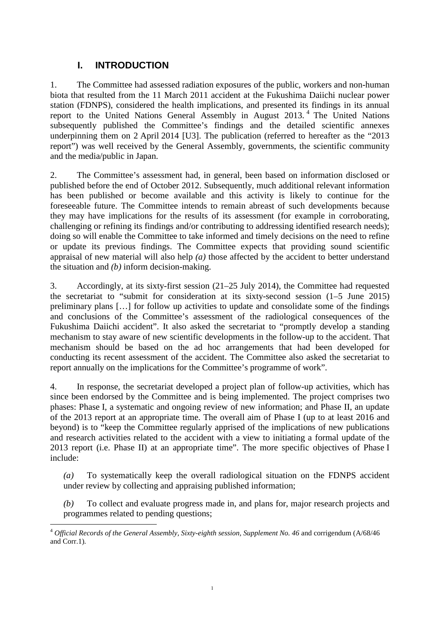## <span id="page-8-0"></span>**I. INTRODUCTION**

1. The Committee had assessed radiation exposures of the public, workers and non-human biota that resulted from the 11 March 2011 accident at the Fukushima Daiichi nuclear power station (FDNPS), considered the health implications, and presented its findings in its annual report to the United Nations General Assembly in August 2013. [4](#page-8-1) The United Nations subsequently published the Committee's findings and the detailed scientific annexes underpinning them on 2 April 2014 [U3]. The publication (referred to hereafter as the "2013 report") was well received by the General Assembly, governments, the scientific community and the media/public in Japan.

2. The Committee's assessment had, in general, been based on information disclosed or published before the end of October 2012. Subsequently, much additional relevant information has been published or become available and this activity is likely to continue for the foreseeable future. The Committee intends to remain abreast of such developments because they may have implications for the results of its assessment (for example in corroborating, challenging or refining its findings and/or contributing to addressing identified research needs); doing so will enable the Committee to take informed and timely decisions on the need to refine or update its previous findings. The Committee expects that providing sound scientific appraisal of new material will also help *(a)* those affected by the accident to better understand the situation and *(b)* inform decision-making.

3. Accordingly, at its sixty-first session (21–25 July 2014), the Committee had requested the secretariat to "submit for consideration at its sixty-second session (1–5 June 2015) preliminary plans […] for follow up activities to update and consolidate some of the findings and conclusions of the Committee's assessment of the radiological consequences of the Fukushima Daiichi accident". It also asked the secretariat to "promptly develop a standing mechanism to stay aware of new scientific developments in the follow-up to the accident. That mechanism should be based on the ad hoc arrangements that had been developed for conducting its recent assessment of the accident. The Committee also asked the secretariat to report annually on the implications for the Committee's programme of work".

4. In response, the secretariat developed a project plan of follow-up activities, which has since been endorsed by the Committee and is being implemented. The project comprises two phases: Phase I, a systematic and ongoing review of new information; and Phase II, an update of the 2013 report at an appropriate time. The overall aim of Phase I (up to at least 2016 and beyond) is to "keep the Committee regularly apprised of the implications of new publications and research activities related to the accident with a view to initiating a formal update of the 2013 report (i.e. Phase II) at an appropriate time". The more specific objectives of Phase I include:

*(a)* To systematically keep the overall radiological situation on the FDNPS accident under review by collecting and appraising published information;

*(b)* To collect and evaluate progress made in, and plans for, major research projects and programmes related to pending questions;

<span id="page-8-1"></span><sup>&</sup>lt;sup>4</sup> Official Records of the General Assembly, Sixty-eighth session, Supplement No. 46 and corrigendum (A/68/46 and Corr.1)*.*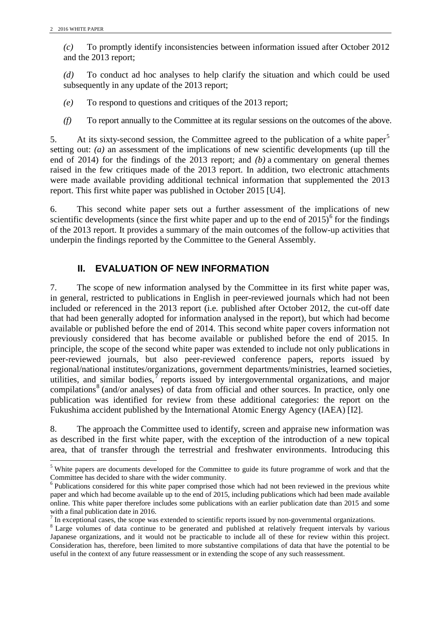*(c)* To promptly identify inconsistencies between information issued after October 2012 and the 2013 report;

*(d)* To conduct ad hoc analyses to help clarify the situation and which could be used subsequently in any update of the 2013 report;

*(e)* To respond to questions and critiques of the 2013 report;

*(f)* To report annually to the Committee at its regular sessions on the outcomes of the above.

[5](#page-9-1). At its sixty-second session, the Committee agreed to the publication of a white paper<sup>5</sup> setting out: *(a)* an assessment of the implications of new scientific developments (up till the end of 2014) for the findings of the 2013 report; and *(b)* a commentary on general themes raised in the few critiques made of the 2013 report. In addition, two electronic attachments were made available providing additional technical information that supplemented the 2013 report. This first white paper was published in October 2015 [U4].

6. This second white paper sets out a further assessment of the implications of new scientific developments (since the first white paper and up to the end of  $2015$ )<sup>[6](#page-9-2)</sup> for the findings of the 2013 report. It provides a summary of the main outcomes of the follow-up activities that underpin the findings reported by the Committee to the General Assembly.

## <span id="page-9-0"></span>**II. EVALUATION OF NEW INFORMATION**

7. The scope of new information analysed by the Committee in its first white paper was, in general, restricted to publications in English in peer-reviewed journals which had not been included or referenced in the 2013 report (i.e. published after October 2012, the cut-off date that had been generally adopted for information analysed in the report), but which had become available or published before the end of 2014. This second white paper covers information not previously considered that has become available or published before the end of 2015. In principle, the scope of the second white paper was extended to include not only publications in peer-reviewed journals, but also peer-reviewed conference papers, reports issued by regional/national institutes/organizations, government departments/ministries, learned societies, utilities, and similar bodies,  $\overline{7}$  $\overline{7}$  $\overline{7}$  reports issued by intergovernmental organizations, and major compilations<sup>[8](#page-9-4)</sup> (and/or analyses) of data from official and other sources. In practice, only one publication was identified for review from these additional categories: the report on the Fukushima accident published by the International Atomic Energy Agency (IAEA) [I2].

8. The approach the Committee used to identify, screen and appraise new information was as described in the first white paper, with the exception of the introduction of a new topical area, that of transfer through the terrestrial and freshwater environments. Introducing this

<span id="page-9-1"></span><sup>&</sup>lt;sup>5</sup> White papers are documents developed for the Committee to guide its future programme of work and that the Committee has decided to share with the wider community.

<span id="page-9-2"></span><sup>6</sup> Publications considered for this white paper comprised those which had not been reviewed in the previous white paper and which had become available up to the end of 2015, including publications which had been made available online. This white paper therefore includes some publications with an earlier publication date than 2015 and some with a final publication date in 2016.<br> $\frac{7}{1}$  In exceptional cases, the scope was extended to scientific reports issued by non-governmental organizations.

<span id="page-9-3"></span>

<span id="page-9-4"></span><sup>&</sup>lt;sup>8</sup> Large volumes of data continue to be generated and published at relatively frequent intervals by various Japanese organizations, and it would not be practicable to include all of these for review within this project. Consideration has, therefore, been limited to more substantive compilations of data that have the potential to be useful in the context of any future reassessment or in extending the scope of any such reassessment.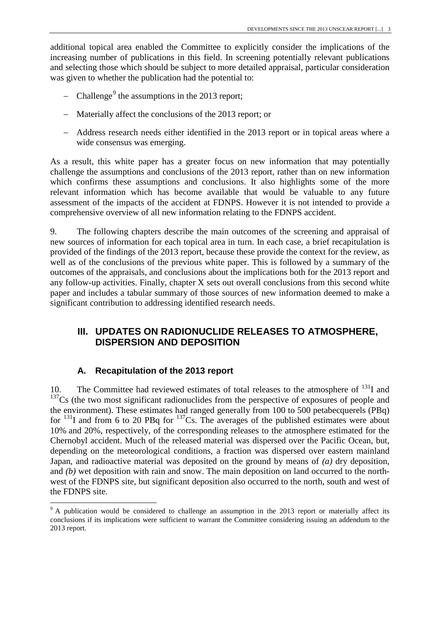additional topical area enabled the Committee to explicitly consider the implications of the increasing number of publications in this field. In screening potentially relevant publications and selecting those which should be subject to more detailed appraisal, particular consideration was given to whether the publication had the potential to:

- − Challenge<sup>[9](#page-10-1)</sup> the assumptions in the 2013 report;
- − Materially affect the conclusions of the 2013 report; or
- − Address research needs either identified in the 2013 report or in topical areas where a wide consensus was emerging.

As a result, this white paper has a greater focus on new information that may potentially challenge the assumptions and conclusions of the 2013 report, rather than on new information which confirms these assumptions and conclusions. It also highlights some of the more relevant information which has become available that would be valuable to any future assessment of the impacts of the accident at FDNPS. However it is not intended to provide a comprehensive overview of all new information relating to the FDNPS accident.

9. The following chapters describe the main outcomes of the screening and appraisal of new sources of information for each topical area in turn. In each case, a brief recapitulation is provided of the findings of the 2013 report, because these provide the context for the review, as well as of the conclusions of the previous white paper. This is followed by a summary of the outcomes of the appraisals, and conclusions about the implications both for the 2013 report and any follow-up activities. Finally, chapter X sets out overall conclusions from this second white paper and includes a tabular summary of those sources of new information deemed to make a significant contribution to addressing identified research needs.

## <span id="page-10-0"></span>**III. UPDATES ON RADIONUCLIDE RELEASES TO ATMOSPHERE, DISPERSION AND DEPOSITION**

#### **A. Recapitulation of the 2013 report**

10. The Committee had reviewed estimates of total releases to the atmosphere of  $^{131}I$  and  $137Cs$  (the two most significant radionuclides from the perspective of exposures of people and the environment). These estimates had ranged generally from 100 to 500 petabecquerels (PBq) for  $^{131}$ I and from 6 to 20 PBq for  $^{137}$ Cs. The averages of the published estimates were about 10% and 20%, respectively, of the corresponding releases to the atmosphere estimated for the Chernobyl accident. Much of the released material was dispersed over the Pacific Ocean, but, depending on the meteorological conditions, a fraction was dispersed over eastern mainland Japan, and radioactive material was deposited on the ground by means of *(a)* dry deposition, and *(b)* wet deposition with rain and snow. The main deposition on land occurred to the northwest of the FDNPS site, but significant deposition also occurred to the north, south and west of the FDNPS site.

<span id="page-10-1"></span><sup>&</sup>lt;sup>9</sup> A publication would be considered to challenge an assumption in the 2013 report or materially affect its conclusions if its implications were sufficient to warrant the Committee considering issuing an addendum to the 2013 report.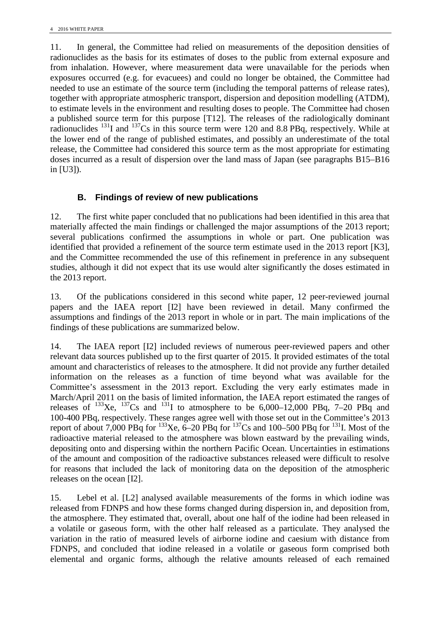11. In general, the Committee had relied on measurements of the deposition densities of radionuclides as the basis for its estimates of doses to the public from external exposure and from inhalation. However, where measurement data were unavailable for the periods when exposures occurred (e.g. for evacuees) and could no longer be obtained, the Committee had needed to use an estimate of the source term (including the temporal patterns of release rates), together with appropriate atmospheric transport, dispersion and deposition modelling (ATDM), to estimate levels in the environment and resulting doses to people. The Committee had chosen a published source term for this purpose [T12]. The releases of the radiologically dominant radionuclides  $^{131}$ I and  $^{137}$ Cs in this source term were 120 and 8.8 PBq, respectively. While at the lower end of the range of published estimates, and possibly an underestimate of the total release, the Committee had considered this source term as the most appropriate for estimating doses incurred as a result of dispersion over the land mass of Japan (see paragraphs B15–B16 in [U3]).

## **B. Findings of review of new publications**

12. The first white paper concluded that no publications had been identified in this area that materially affected the main findings or challenged the major assumptions of the 2013 report; several publications confirmed the assumptions in whole or part. One publication was identified that provided a refinement of the source term estimate used in the 2013 report [K3], and the Committee recommended the use of this refinement in preference in any subsequent studies, although it did not expect that its use would alter significantly the doses estimated in the 2013 report.

13. Of the publications considered in this second white paper, 12 peer-reviewed journal papers and the IAEA report [I2] have been reviewed in detail. Many confirmed the assumptions and findings of the 2013 report in whole or in part. The main implications of the findings of these publications are summarized below.

14. The IAEA report [I2] included reviews of numerous peer-reviewed papers and other relevant data sources published up to the first quarter of 2015. It provided estimates of the total amount and characteristics of releases to the atmosphere. It did not provide any further detailed information on the releases as a function of time beyond what was available for the Committee's assessment in the 2013 report. Excluding the very early estimates made in March/April 2011 on the basis of limited information, the IAEA report estimated the ranges of releases of  $^{133}$ Xe,  $^{137}$ Cs and  $^{131}$ I to atmosphere to be 6,000–12,000 PBq, 7–20 PBq and 100-400 PBq, respectively. These ranges agree well with those set out in the Committee's 2013 report of about 7,000 PBq for <sup>133</sup>Xe,  $6-20$  PBq for <sup>137</sup>Cs and 100–500 PBq for <sup>131</sup>I. Most of the radioactive material released to the atmosphere was blown eastward by the prevailing winds, depositing onto and dispersing within the northern Pacific Ocean. Uncertainties in estimations of the amount and composition of the radioactive substances released were difficult to resolve for reasons that included the lack of monitoring data on the deposition of the atmospheric releases on the ocean [I2].

15. Lebel et al. [L2] analysed available measurements of the forms in which iodine was released from FDNPS and how these forms changed during dispersion in, and deposition from, the atmosphere. They estimated that, overall, about one half of the iodine had been released in a volatile or gaseous form, with the other half released as a particulate. They analysed the variation in the ratio of measured levels of airborne iodine and caesium with distance from FDNPS, and concluded that iodine released in a volatile or gaseous form comprised both elemental and organic forms, although the relative amounts released of each remained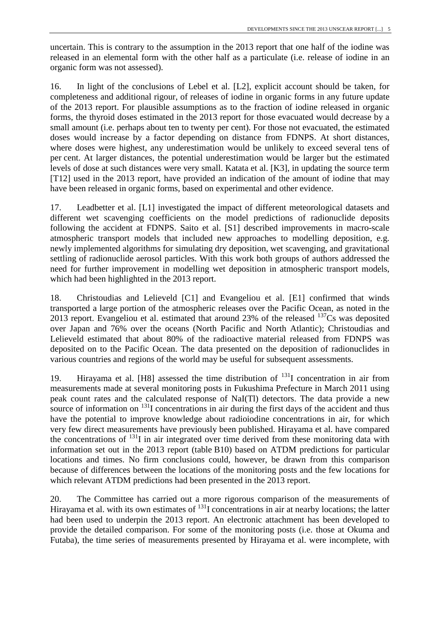uncertain. This is contrary to the assumption in the 2013 report that one half of the iodine was released in an elemental form with the other half as a particulate (i.e. release of iodine in an organic form was not assessed).

16. In light of the conclusions of Lebel et al. [L2], explicit account should be taken, for completeness and additional rigour, of releases of iodine in organic forms in any future update of the 2013 report. For plausible assumptions as to the fraction of iodine released in organic forms, the thyroid doses estimated in the 2013 report for those evacuated would decrease by a small amount (i.e. perhaps about ten to twenty per cent). For those not evacuated, the estimated doses would increase by a factor depending on distance from FDNPS. At short distances, where doses were highest, any underestimation would be unlikely to exceed several tens of per cent. At larger distances, the potential underestimation would be larger but the estimated levels of dose at such distances were very small. Katata et al. [K3], in updating the source term [T12] used in the 2013 report, have provided an indication of the amount of iodine that may have been released in organic forms, based on experimental and other evidence.

17. Leadbetter et al. [L1] investigated the impact of different meteorological datasets and different wet scavenging coefficients on the model predictions of radionuclide deposits following the accident at FDNPS. Saito et al. [S1] described improvements in macro-scale atmospheric transport models that included new approaches to modelling deposition, e.g. newly implemented algorithms for simulating dry deposition, wet scavenging, and gravitational settling of radionuclide aerosol particles. With this work both groups of authors addressed the need for further improvement in modelling wet deposition in atmospheric transport models, which had been highlighted in the 2013 report.

18. Christoudias and Lelieveld [C1] and Evangeliou et al. [E1] confirmed that winds transported a large portion of the atmospheric releases over the Pacific Ocean, as noted in the 2013 report. Evangeliou et al. estimated that around 23% of the released  $137Cs$  was deposited over Japan and 76% over the oceans (North Pacific and North Atlantic); Christoudias and Lelieveld estimated that about 80% of the radioactive material released from FDNPS was deposited on to the Pacific Ocean. The data presented on the deposition of radionuclides in various countries and regions of the world may be useful for subsequent assessments.

19. Hirayama et al. [H8] assessed the time distribution of  $^{131}I$  concentration in air from measurements made at several monitoring posts in Fukushima Prefecture in March 2011 using peak count rates and the calculated response of NaI(Tl) detectors. The data provide a new source of information on  $^{131}$ I concentrations in air during the first days of the accident and thus have the potential to improve knowledge about radioiodine concentrations in air, for which very few direct measurements have previously been published. Hirayama et al. have compared the concentrations of  $^{131}$ I in air integrated over time derived from these monitoring data with information set out in the 2013 report (table B10) based on ATDM predictions for particular locations and times. No firm conclusions could, however, be drawn from this comparison because of differences between the locations of the monitoring posts and the few locations for which relevant ATDM predictions had been presented in the 2013 report.

20. The Committee has carried out a more rigorous comparison of the measurements of Hirayama et al. with its own estimates of  $^{131}$ I concentrations in air at nearby locations; the latter had been used to underpin the 2013 report. An electronic attachment has been developed to provide the detailed comparison. For some of the monitoring posts (i.e. those at Okuma and Futaba), the time series of measurements presented by Hirayama et al. were incomplete, with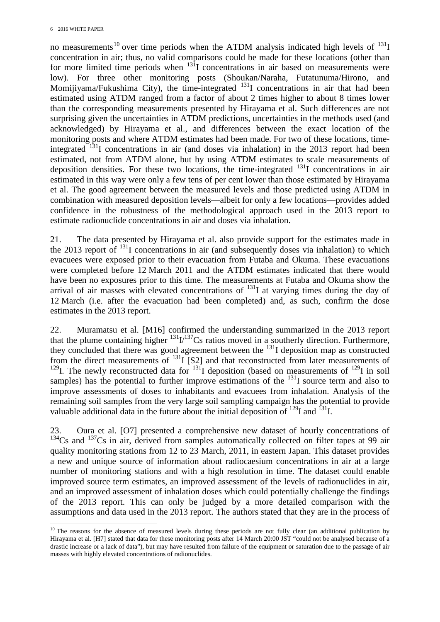no measurements<sup>[10](#page-13-0)</sup> over time periods when the ATDM analysis indicated high levels of  $^{131}I$ concentration in air; thus, no valid comparisons could be made for these locations (other than for more limited time periods when  $13\overline{1}I$  concentrations in air based on measurements were low). For three other monitoring posts (Shoukan/Naraha, Futatunuma/Hirono, and Momijiyama/Fukushima City), the time-integrated  $^{131}I$  concentrations in air that had been estimated using ATDM ranged from a factor of about 2 times higher to about 8 times lower than the corresponding measurements presented by Hirayama et al. Such differences are not surprising given the uncertainties in ATDM predictions, uncertainties in the methods used (and acknowledged) by Hirayama et al., and differences between the exact location of the monitoring posts and where ATDM estimates had been made. For two of these locations, timeintegrated  $131$ I concentrations in air (and doses via inhalation) in the 2013 report had been estimated, not from ATDM alone, but by using ATDM estimates to scale measurements of deposition densities. For these two locations, the time-integrated  $^{131}I$  concentrations in air estimated in this way were only a few tens of per cent lower than those estimated by Hirayama et al. The good agreement between the measured levels and those predicted using ATDM in combination with measured deposition levels—albeit for only a few locations—provides added confidence in the robustness of the methodological approach used in the 2013 report to estimate radionuclide concentrations in air and doses via inhalation.

21. The data presented by Hirayama et al. also provide support for the estimates made in the 2013 report of  $^{131}$ I concentrations in air (and subsequently doses via inhalation) to which evacuees were exposed prior to their evacuation from Futaba and Okuma. These evacuations were completed before 12 March 2011 and the ATDM estimates indicated that there would have been no exposures prior to this time. The measurements at Futaba and Okuma show the arrival of air masses with elevated concentrations of  $^{131}$ I at varying times during the day of 12 March (i.e. after the evacuation had been completed) and, as such, confirm the dose estimates in the 2013 report.

22. Muramatsu et al. [M16] confirmed the understanding summarized in the 2013 report that the plume containing higher  $^{131}$  $I^{137}$ Cs ratios moved in a southerly direction. Furthermore, they concluded that there was good agreement between the <sup>131</sup>I deposition map as constructed from the direct measurements of  $^{131}I$  [S2] and that reconstructed from later measurements of <sup>129</sup>I. The newly reconstructed data for  $131$  deposition (based on measurements of  $129$ I in soil samples) has the potential to further improve estimations of the  $131$ I source term and also to improve assessments of doses to inhabitants and evacuees from inhalation. Analysis of the remaining soil samples from the very large soil sampling campaign has the potential to provide valuable additional data in the future about the initial deposition of  $^{129}$ I and  $^{131}$ I.

23. Oura et al. [O7] presented a comprehensive new dataset of hourly concentrations of <sup>134</sup>Cs and <sup>137</sup>Cs in air, derived from samples automatically collected on filter tapes at 99 air quality monitoring stations from 12 to 23 March, 2011, in eastern Japan. This dataset provides a new and unique source of information about radiocaesium concentrations in air at a large number of monitoring stations and with a high resolution in time. The dataset could enable improved source term estimates, an improved assessment of the levels of radionuclides in air, and an improved assessment of inhalation doses which could potentially challenge the findings of the 2013 report. This can only be judged by a more detailed comparison with the assumptions and data used in the 2013 report. The authors stated that they are in the process of

<span id="page-13-0"></span> $10$  The reasons for the absence of measured levels during these periods are not fully clear (an additional publication by Hirayama et al. [H7] stated that data for these monitoring posts after 14 March 20:00 JST "could not be analysed because of a drastic increase or a lack of data"), but may have resulted from failure of the equipment or saturation due to the passage of air masses with highly elevated concentrations of radionuclides.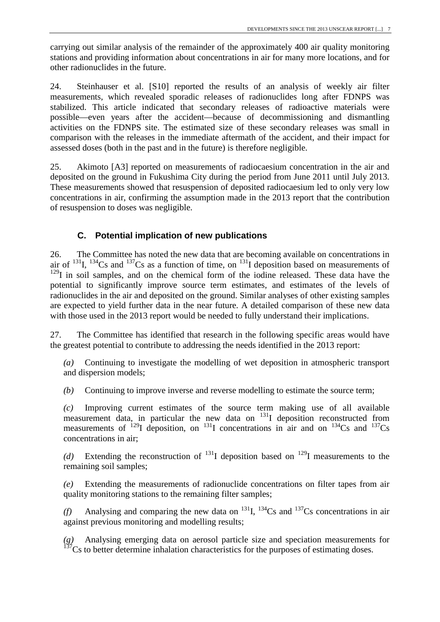carrying out similar analysis of the remainder of the approximately 400 air quality monitoring stations and providing information about concentrations in air for many more locations, and for other radionuclides in the future.

24. Steinhauser et al. [S10] reported the results of an analysis of weekly air filter measurements, which revealed sporadic releases of radionuclides long after FDNPS was stabilized. This article indicated that secondary releases of radioactive materials were possible—even years after the accident—because of decommissioning and dismantling activities on the FDNPS site. The estimated size of these secondary releases was small in comparison with the releases in the immediate aftermath of the accident, and their impact for assessed doses (both in the past and in the future) is therefore negligible.

25. Akimoto [A3] reported on measurements of radiocaesium concentration in the air and deposited on the ground in Fukushima City during the period from June 2011 until July 2013. These measurements showed that resuspension of deposited radiocaesium led to only very low concentrations in air, confirming the assumption made in the 2013 report that the contribution of resuspension to doses was negligible.

## **C. Potential implication of new publications**

26. The Committee has noted the new data that are becoming available on concentrations in air of  $^{131}$ ,  $^{134}$ Cs and  $^{137}$ Cs as a function of time, on  $^{131}$ I deposition based on measurements of  $129$ I in soil samples, and on the chemical form of the iodine released. These data have the potential to significantly improve source term estimates, and estimates of the levels of radionuclides in the air and deposited on the ground. Similar analyses of other existing samples are expected to yield further data in the near future. A detailed comparison of these new data with those used in the 2013 report would be needed to fully understand their implications.

27. The Committee has identified that research in the following specific areas would have the greatest potential to contribute to addressing the needs identified in the 2013 report:

*(a)* Continuing to investigate the modelling of wet deposition in atmospheric transport and dispersion models;

*(b)* Continuing to improve inverse and reverse modelling to estimate the source term;

*(c)* Improving current estimates of the source term making use of all available measurement data, in particular the new data on  $131$  deposition reconstructed from measurements of  $^{129}I$  deposition, on  $^{131}I$  concentrations in air and on  $^{134}Cs$  and  $^{137}Cs$ concentrations in air;

(d) Extending the reconstruction of  $^{131}I$  deposition based on  $^{129}I$  measurements to the remaining soil samples;

*(e)* Extending the measurements of radionuclide concentrations on filter tapes from air quality monitoring stations to the remaining filter samples;

(f) Analysing and comparing the new data on  $^{131}$ I,  $^{134}$ Cs and  $^{137}$ Cs concentrations in air against previous monitoring and modelling results;

*(g)* Analysing emerging data on aerosol particle size and speciation measurements for  $137$ Cs to better determine inhalation characteristics for the purposes of estimating doses.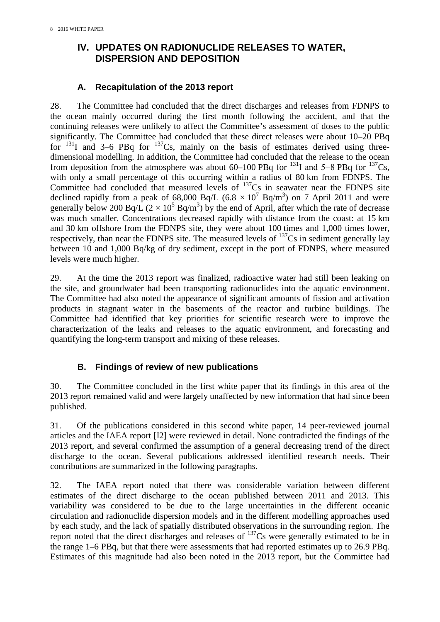# <span id="page-15-0"></span>**IV. UPDATES ON RADIONUCLIDE RELEASES TO WATER, DISPERSION AND DEPOSITION**

#### **A. Recapitulation of the 2013 report**

28. The Committee had concluded that the direct discharges and releases from FDNPS to the ocean mainly occurred during the first month following the accident, and that the continuing releases were unlikely to affect the Committee's assessment of doses to the public significantly. The Committee had concluded that these direct releases were about 10–20 PBq for  $131$ I and 3–6 PBq for  $137$ Cs, mainly on the basis of estimates derived using threedimensional modelling. In addition, the Committee had concluded that the release to the ocean from deposition from the atmosphere was about 60–100 PBq for  $^{131}I$  and 5–8 PBq for  $^{137}Cs$ , with only a small percentage of this occurring within a radius of 80 km from FDNPS. The Committee had concluded that measured levels of  $^{137}Cs$  in seawater near the FDNPS site declined rapidly from a peak of 68,000 Bq/L (6.8  $\times$  10<sup>7</sup> Bq/m<sup>3</sup>) on 7 April 2011 and were generally below 200 Bq/L ( $2 \times 10^5$  Bq/m<sup>3</sup>) by the end of April, after which the rate of decrease was much smaller. Concentrations decreased rapidly with distance from the coast: at 15 km and 30 km offshore from the FDNPS site, they were about 100 times and 1,000 times lower, respectively, than near the FDNPS site. The measured levels of  $137Cs$  in sediment generally lay between 10 and 1,000 Bq/kg of dry sediment, except in the port of FDNPS, where measured levels were much higher.

29. At the time the 2013 report was finalized, radioactive water had still been leaking on the site, and groundwater had been transporting radionuclides into the aquatic environment. The Committee had also noted the appearance of significant amounts of fission and activation products in stagnant water in the basements of the reactor and turbine buildings. The Committee had identified that key priorities for scientific research were to improve the characterization of the leaks and releases to the aquatic environment, and forecasting and quantifying the long-term transport and mixing of these releases.

## **B. Findings of review of new publications**

30. The Committee concluded in the first white paper that its findings in this area of the 2013 report remained valid and were largely unaffected by new information that had since been published.

31. Of the publications considered in this second white paper, 14 peer-reviewed journal articles and the IAEA report [I2] were reviewed in detail. None contradicted the findings of the 2013 report, and several confirmed the assumption of a general decreasing trend of the direct discharge to the ocean. Several publications addressed identified research needs. Their contributions are summarized in the following paragraphs.

32. The IAEA report noted that there was considerable variation between different estimates of the direct discharge to the ocean published between 2011 and 2013. This variability was considered to be due to the large uncertainties in the different oceanic circulation and radionuclide dispersion models and in the different modelling approaches used by each study, and the lack of spatially distributed observations in the surrounding region. The report noted that the direct discharges and releases of  $137Cs$  were generally estimated to be in the range 1–6 PBq, but that there were assessments that had reported estimates up to 26.9 PBq. Estimates of this magnitude had also been noted in the 2013 report, but the Committee had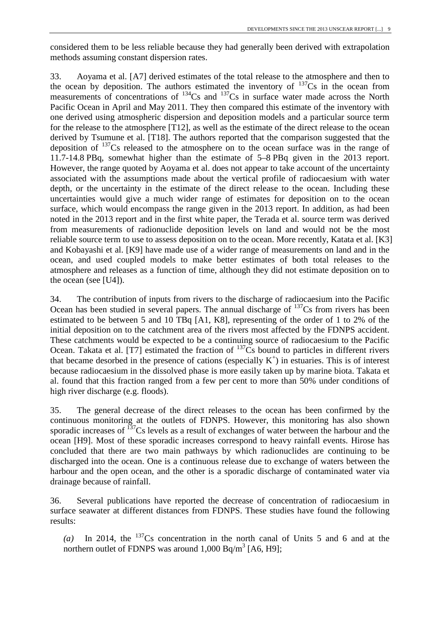considered them to be less reliable because they had generally been derived with extrapolation methods assuming constant dispersion rates.

33. Aoyama et al. [A7] derived estimates of the total release to the atmosphere and then to the ocean by deposition. The authors estimated the inventory of  $137Cs$  in the ocean from measurements of concentrations of  $^{134}Cs$  and  $^{137}Cs$  in surface water made across the North Pacific Ocean in April and May 2011. They then compared this estimate of the inventory with one derived using atmospheric dispersion and deposition models and a particular source term for the release to the atmosphere [T12], as well as the estimate of the direct release to the ocean derived by Tsumune et al. [T18]. The authors reported that the comparison suggested that the deposition of  $137$ Cs released to the atmosphere on to the ocean surface was in the range of 11.7-14.8 PBq, somewhat higher than the estimate of 5–8 PBq given in the 2013 report. However, the range quoted by Aoyama et al. does not appear to take account of the uncertainty associated with the assumptions made about the vertical profile of radiocaesium with water depth, or the uncertainty in the estimate of the direct release to the ocean. Including these uncertainties would give a much wider range of estimates for deposition on to the ocean surface, which would encompass the range given in the 2013 report. In addition, as had been noted in the 2013 report and in the first white paper, the Terada et al. source term was derived from measurements of radionuclide deposition levels on land and would not be the most reliable source term to use to assess deposition on to the ocean. More recently, Katata et al. [K3] and Kobayashi et al. [K9] have made use of a wider range of measurements on land and in the ocean, and used coupled models to make better estimates of both total releases to the atmosphere and releases as a function of time, although they did not estimate deposition on to the ocean (see [U4]).

34. The contribution of inputs from rivers to the discharge of radiocaesium into the Pacific Ocean has been studied in several papers. The annual discharge of  $137Cs$  from rivers has been estimated to be between 5 and 10 TBq [A1, K8], representing of the order of 1 to 2% of the initial deposition on to the catchment area of the rivers most affected by the FDNPS accident. These catchments would be expected to be a continuing source of radiocaesium to the Pacific Ocean. Takata et al. [T7] estimated the fraction of  $^{137}$ Cs bound to particles in different rivers that became desorbed in the presence of cations (especially  $K^+$ ) in estuaries. This is of interest because radiocaesium in the dissolved phase is more easily taken up by marine biota. Takata et al. found that this fraction ranged from a few per cent to more than 50% under conditions of high river discharge (e.g. floods).

35. The general decrease of the direct releases to the ocean has been confirmed by the continuous monitoring at the outlets of FDNPS. However, this monitoring has also shown sporadic increases of  $137$ Cs levels as a result of exchanges of water between the harbour and the ocean [H9]. Most of these sporadic increases correspond to heavy rainfall events. Hirose has concluded that there are two main pathways by which radionuclides are continuing to be discharged into the ocean. One is a continuous release due to exchange of waters between the harbour and the open ocean, and the other is a sporadic discharge of contaminated water via drainage because of rainfall.

36. Several publications have reported the decrease of concentration of radiocaesium in surface seawater at different distances from FDNPS. These studies have found the following results:

*(a)* In 2014, the 137Cs concentration in the north canal of Units 5 and 6 and at the northern outlet of FDNPS was around  $1,000$  Bq/m<sup>3</sup> [A6, H9];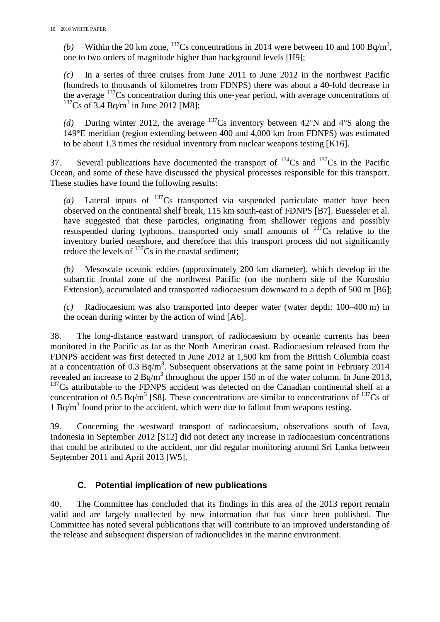(b) Within the 20 km zone,  $^{137}$ Cs concentrations in 2014 were between 10 and 100 Bq/m<sup>3</sup>, one to two orders of magnitude higher than background levels [H9];

*(c)* In a series of three cruises from June 2011 to June 2012 in the northwest Pacific (hundreds to thousands of kilometres from FDNPS) there was about a 40-fold decrease in the average  $137Cs$  concentration during this one-year period, with average concentrations of  $137Cs$  of 3.4 Bq/m<sup>3</sup> in June 2012 [M8];

(d) During winter 2012, the average  $137Cs$  inventory between 42°N and 4°S along the 149°E meridian (region extending between 400 and 4,000 km from FDNPS) was estimated to be about 1.3 times the residual inventory from nuclear weapons testing [K16].

37. Several publications have documented the transport of  $^{134}Cs$  and  $^{137}Cs$  in the Pacific Ocean, and some of these have discussed the physical processes responsible for this transport. These studies have found the following results:

(a) Lateral inputs of  $137Cs$  transported via suspended particulate matter have been observed on the continental shelf break, 115 km south-east of FDNPS [B7]. Buesseler et al. have suggested that these particles, originating from shallower regions and possibly resuspended during typhoons, transported only small amounts of  $137$ Cs relative to the inventory buried nearshore, and therefore that this transport process did not significantly reduce the levels of  $137$ Cs in the coastal sediment;

*(b)* Mesoscale oceanic eddies (approximately 200 km diameter), which develop in the subarctic frontal zone of the northwest Pacific (on the northern side of the Kuroshio Extension), accumulated and transported radiocaesium downward to a depth of 500 m [B6];

*(c)* Radiocaesium was also transported into deeper water (water depth: 100–400 m) in the ocean during winter by the action of wind [A6].

38. The long-distance eastward transport of radiocaesium by oceanic currents has been monitored in the Pacific as far as the North American coast. Radiocaesium released from the FDNPS accident was first detected in June 2012 at 1,500 km from the British Columbia coast at a concentration of 0.3 Bq/m<sup>3</sup>. Subsequent observations at the same point in February 2014 revealed an increase to 2 Bq/m<sup>3</sup> throughout the upper 150 m of the water column. In June 2013,  $137$ Cs attributable to the FDNPS accident was detected on the Canadian continental shelf at a concentration of 0.5 Bq/m<sup>3</sup> [S8]. These concentrations are similar to concentrations of  $^{137}Cs$  of 1 Bq/ $m<sup>3</sup>$  found prior to the accident, which were due to fallout from weapons testing.

39. Concerning the westward transport of radiocaesium, observations south of Java, Indonesia in September 2012 [S12] did not detect any increase in radiocaesium concentrations that could be attributed to the accident, nor did regular monitoring around Sri Lanka between September 2011 and April 2013 [W5].

## **C. Potential implication of new publications**

40. The Committee has concluded that its findings in this area of the 2013 report remain valid and are largely unaffected by new information that has since been published. The Committee has noted several publications that will contribute to an improved understanding of the release and subsequent dispersion of radionuclides in the marine environment.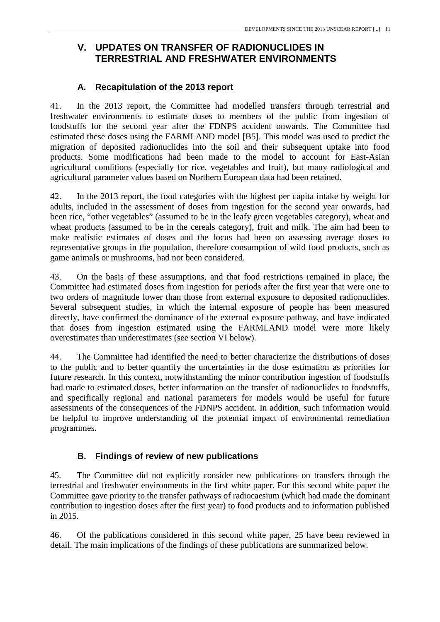# <span id="page-18-0"></span>**V. UPDATES ON TRANSFER OF RADIONUCLIDES IN TERRESTRIAL AND FRESHWATER ENVIRONMENTS**

#### **A. Recapitulation of the 2013 report**

41. In the 2013 report, the Committee had modelled transfers through terrestrial and freshwater environments to estimate doses to members of the public from ingestion of foodstuffs for the second year after the FDNPS accident onwards. The Committee had estimated these doses using the FARMLAND model [B5]. This model was used to predict the migration of deposited radionuclides into the soil and their subsequent uptake into food products. Some modifications had been made to the model to account for East-Asian agricultural conditions (especially for rice, vegetables and fruit), but many radiological and agricultural parameter values based on Northern European data had been retained.

42. In the 2013 report, the food categories with the highest per capita intake by weight for adults, included in the assessment of doses from ingestion for the second year onwards, had been rice, "other vegetables" (assumed to be in the leafy green vegetables category), wheat and wheat products (assumed to be in the cereals category), fruit and milk. The aim had been to make realistic estimates of doses and the focus had been on assessing average doses to representative groups in the population, therefore consumption of wild food products, such as game animals or mushrooms, had not been considered.

43. On the basis of these assumptions, and that food restrictions remained in place, the Committee had estimated doses from ingestion for periods after the first year that were one to two orders of magnitude lower than those from external exposure to deposited radionuclides. Several subsequent studies, in which the internal exposure of people has been measured directly, have confirmed the dominance of the external exposure pathway, and have indicated that doses from ingestion estimated using the FARMLAND model were more likely overestimates than underestimates (see section VI below).

44. The Committee had identified the need to better characterize the distributions of doses to the public and to better quantify the uncertainties in the dose estimation as priorities for future research. In this context, notwithstanding the minor contribution ingestion of foodstuffs had made to estimated doses, better information on the transfer of radionuclides to foodstuffs, and specifically regional and national parameters for models would be useful for future assessments of the consequences of the FDNPS accident. In addition, such information would be helpful to improve understanding of the potential impact of environmental remediation programmes.

#### **B. Findings of review of new publications**

45. The Committee did not explicitly consider new publications on transfers through the terrestrial and freshwater environments in the first white paper. For this second white paper the Committee gave priority to the transfer pathways of radiocaesium (which had made the dominant contribution to ingestion doses after the first year) to food products and to information published in 2015.

46. Of the publications considered in this second white paper, 25 have been reviewed in detail. The main implications of the findings of these publications are summarized below.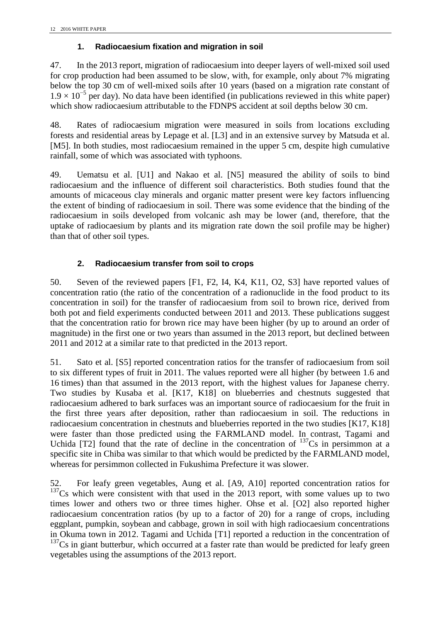#### **1. Radiocaesium fixation and migration in soil**

47. In the 2013 report, migration of radiocaesium into deeper layers of well-mixed soil used for crop production had been assumed to be slow, with, for example, only about 7% migrating below the top 30 cm of well-mixed soils after 10 years (based on a migration rate constant of  $1.9 \times 10^{-5}$  per day). No data have been identified (in publications reviewed in this white paper) which show radiocaesium attributable to the FDNPS accident at soil depths below 30 cm.

48. Rates of radiocaesium migration were measured in soils from locations excluding forests and residential areas by Lepage et al. [L3] and in an extensive survey by Matsuda et al. [M5]. In both studies, most radiocaesium remained in the upper 5 cm, despite high cumulative rainfall, some of which was associated with typhoons.

49. Uematsu et al. [U1] and Nakao et al. [N5] measured the ability of soils to bind radiocaesium and the influence of different soil characteristics. Both studies found that the amounts of micaceous clay minerals and organic matter present were key factors influencing the extent of binding of radiocaesium in soil. There was some evidence that the binding of the radiocaesium in soils developed from volcanic ash may be lower (and, therefore, that the uptake of radiocaesium by plants and its migration rate down the soil profile may be higher) than that of other soil types.

#### **2. Radiocaesium transfer from soil to crops**

50. Seven of the reviewed papers [F1, F2, I4, K4, K11, O2, S3] have reported values of concentration ratio (the ratio of the concentration of a radionuclide in the food product to its concentration in soil) for the transfer of radiocaesium from soil to brown rice, derived from both pot and field experiments conducted between 2011 and 2013. These publications suggest that the concentration ratio for brown rice may have been higher (by up to around an order of magnitude) in the first one or two years than assumed in the 2013 report, but declined between 2011 and 2012 at a similar rate to that predicted in the 2013 report.

51. Sato et al. [S5] reported concentration ratios for the transfer of radiocaesium from soil to six different types of fruit in 2011. The values reported were all higher (by between 1.6 and 16 times) than that assumed in the 2013 report, with the highest values for Japanese cherry. Two studies by Kusaba et al. [K17, K18] on blueberries and chestnuts suggested that radiocaesium adhered to bark surfaces was an important source of radiocaesium for the fruit in the first three years after deposition, rather than radiocaesium in soil. The reductions in radiocaesium concentration in chestnuts and blueberries reported in the two studies [K17, K18] were faster than those predicted using the FARMLAND model. In contrast, Tagami and Uchida [T2] found that the rate of decline in the concentration of  $137Cs$  in persimmon at a specific site in Chiba was similar to that which would be predicted by the FARMLAND model, whereas for persimmon collected in Fukushima Prefecture it was slower.

52. For leafy green vegetables, Aung et al. [A9, A10] reported concentration ratios for  $137<sup>137</sup>Cs$  which were consistent with that used in the 2013 report, with some values up to two times lower and others two or three times higher. Ohse et al. [O2] also reported higher radiocaesium concentration ratios (by up to a factor of 20) for a range of crops, including eggplant, pumpkin, soybean and cabbage, grown in soil with high radiocaesium concentrations in Okuma town in 2012. Tagami and Uchida [T1] reported a reduction in the concentration of  $137Cs$  in giant butterbur, which occurred at a faster rate than would be predicted for leafy green vegetables using the assumptions of the 2013 report.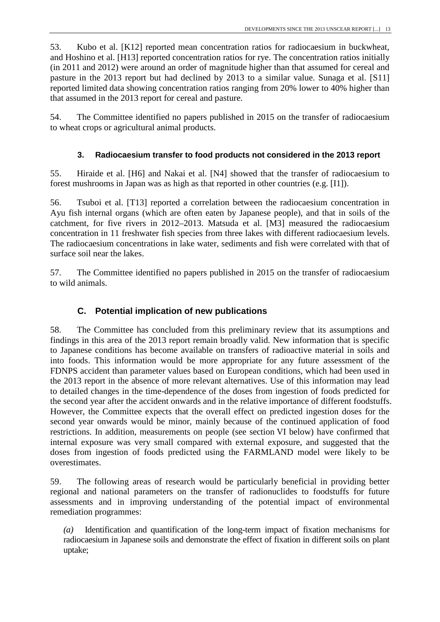53. Kubo et al. [K12] reported mean concentration ratios for radiocaesium in buckwheat, and Hoshino et al. [H13] reported concentration ratios for rye. The concentration ratios initially (in 2011 and 2012) were around an order of magnitude higher than that assumed for cereal and pasture in the 2013 report but had declined by 2013 to a similar value. Sunaga et al. [S11] reported limited data showing concentration ratios ranging from 20% lower to 40% higher than that assumed in the 2013 report for cereal and pasture.

54. The Committee identified no papers published in 2015 on the transfer of radiocaesium to wheat crops or agricultural animal products.

## **3. Radiocaesium transfer to food products not considered in the 2013 report**

55. Hiraide et al. [H6] and Nakai et al. [N4] showed that the transfer of radiocaesium to forest mushrooms in Japan was as high as that reported in other countries (e.g. [I1]).

56. Tsuboi et al. [T13] reported a correlation between the radiocaesium concentration in Ayu fish internal organs (which are often eaten by Japanese people), and that in soils of the catchment, for five rivers in 2012–2013. Matsuda et al. [M3] measured the radiocaesium concentration in 11 freshwater fish species from three lakes with different radiocaesium levels. The radiocaesium concentrations in lake water, sediments and fish were correlated with that of surface soil near the lakes.

57. The Committee identified no papers published in 2015 on the transfer of radiocaesium to wild animals.

# **C. Potential implication of new publications**

58. The Committee has concluded from this preliminary review that its assumptions and findings in this area of the 2013 report remain broadly valid. New information that is specific to Japanese conditions has become available on transfers of radioactive material in soils and into foods. This information would be more appropriate for any future assessment of the FDNPS accident than parameter values based on European conditions, which had been used in the 2013 report in the absence of more relevant alternatives. Use of this information may lead to detailed changes in the time-dependence of the doses from ingestion of foods predicted for the second year after the accident onwards and in the relative importance of different foodstuffs. However, the Committee expects that the overall effect on predicted ingestion doses for the second year onwards would be minor, mainly because of the continued application of food restrictions. In addition, measurements on people (see section VI below) have confirmed that internal exposure was very small compared with external exposure, and suggested that the doses from ingestion of foods predicted using the FARMLAND model were likely to be overestimates.

59. The following areas of research would be particularly beneficial in providing better regional and national parameters on the transfer of radionuclides to foodstuffs for future assessments and in improving understanding of the potential impact of environmental remediation programmes:

*(a)* Identification and quantification of the long-term impact of fixation mechanisms for radiocaesium in Japanese soils and demonstrate the effect of fixation in different soils on plant uptake;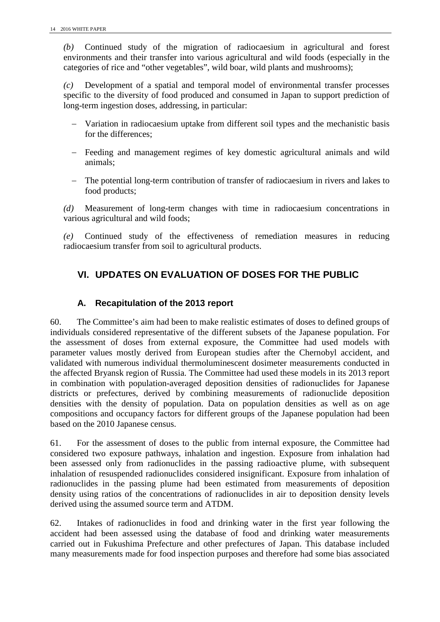*(b)* Continued study of the migration of radiocaesium in agricultural and forest environments and their transfer into various agricultural and wild foods (especially in the categories of rice and "other vegetables", wild boar, wild plants and mushrooms);

*(c)* Development of a spatial and temporal model of environmental transfer processes specific to the diversity of food produced and consumed in Japan to support prediction of long-term ingestion doses, addressing, in particular:

- − Variation in radiocaesium uptake from different soil types and the mechanistic basis for the differences;
- − Feeding and management regimes of key domestic agricultural animals and wild animals;
- − The potential long-term contribution of transfer of radiocaesium in rivers and lakes to food products;

*(d)* Measurement of long-term changes with time in radiocaesium concentrations in various agricultural and wild foods;

<span id="page-21-0"></span>*(e)* Continued study of the effectiveness of remediation measures in reducing radiocaesium transfer from soil to agricultural products.

# **VI. UPDATES ON EVALUATION OF DOSES FOR THE PUBLIC**

#### **A. Recapitulation of the 2013 report**

60. The Committee's aim had been to make realistic estimates of doses to defined groups of individuals considered representative of the different subsets of the Japanese population. For the assessment of doses from external exposure, the Committee had used models with parameter values mostly derived from European studies after the Chernobyl accident, and validated with numerous individual thermoluminescent dosimeter measurements conducted in the affected Bryansk region of Russia. The Committee had used these models in its 2013 report in combination with population-averaged deposition densities of radionuclides for Japanese districts or prefectures, derived by combining measurements of radionuclide deposition densities with the density of population. Data on population densities as well as on age compositions and occupancy factors for different groups of the Japanese population had been based on the 2010 Japanese census.

61. For the assessment of doses to the public from internal exposure, the Committee had considered two exposure pathways, inhalation and ingestion. Exposure from inhalation had been assessed only from radionuclides in the passing radioactive plume, with subsequent inhalation of resuspended radionuclides considered insignificant. Exposure from inhalation of radionuclides in the passing plume had been estimated from measurements of deposition density using ratios of the concentrations of radionuclides in air to deposition density levels derived using the assumed source term and ATDM.

62. Intakes of radionuclides in food and drinking water in the first year following the accident had been assessed using the database of food and drinking water measurements carried out in Fukushima Prefecture and other prefectures of Japan. This database included many measurements made for food inspection purposes and therefore had some bias associated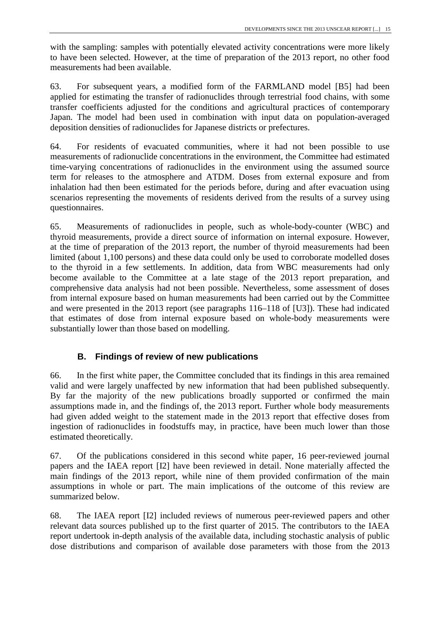with the sampling: samples with potentially elevated activity concentrations were more likely to have been selected. However, at the time of preparation of the 2013 report, no other food measurements had been available.

63. For subsequent years, a modified form of the FARMLAND model [B5] had been applied for estimating the transfer of radionuclides through terrestrial food chains, with some transfer coefficients adjusted for the conditions and agricultural practices of contemporary Japan. The model had been used in combination with input data on population-averaged deposition densities of radionuclides for Japanese districts or prefectures.

64. For residents of evacuated communities, where it had not been possible to use measurements of radionuclide concentrations in the environment, the Committee had estimated time-varying concentrations of radionuclides in the environment using the assumed source term for releases to the atmosphere and ATDM. Doses from external exposure and from inhalation had then been estimated for the periods before, during and after evacuation using scenarios representing the movements of residents derived from the results of a survey using questionnaires.

65. Measurements of radionuclides in people, such as whole-body-counter (WBC) and thyroid measurements, provide a direct source of information on internal exposure. However, at the time of preparation of the 2013 report, the number of thyroid measurements had been limited (about 1,100 persons) and these data could only be used to corroborate modelled doses to the thyroid in a few settlements. In addition, data from WBC measurements had only become available to the Committee at a late stage of the 2013 report preparation, and comprehensive data analysis had not been possible. Nevertheless, some assessment of doses from internal exposure based on human measurements had been carried out by the Committee and were presented in the 2013 report (see paragraphs 116–118 of [U3]). These had indicated that estimates of dose from internal exposure based on whole-body measurements were substantially lower than those based on modelling.

## **B. Findings of review of new publications**

66. In the first white paper, the Committee concluded that its findings in this area remained valid and were largely unaffected by new information that had been published subsequently. By far the majority of the new publications broadly supported or confirmed the main assumptions made in, and the findings of, the 2013 report. Further whole body measurements had given added weight to the statement made in the 2013 report that effective doses from ingestion of radionuclides in foodstuffs may, in practice, have been much lower than those estimated theoretically.

67. Of the publications considered in this second white paper, 16 peer-reviewed journal papers and the IAEA report [I2] have been reviewed in detail. None materially affected the main findings of the 2013 report, while nine of them provided confirmation of the main assumptions in whole or part. The main implications of the outcome of this review are summarized below.

68. The IAEA report [I2] included reviews of numerous peer-reviewed papers and other relevant data sources published up to the first quarter of 2015. The contributors to the IAEA report undertook in-depth analysis of the available data, including stochastic analysis of public dose distributions and comparison of available dose parameters with those from the 2013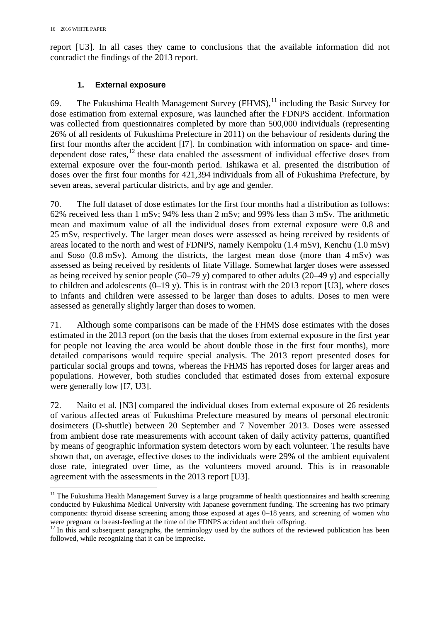report [U3]. In all cases they came to conclusions that the available information did not contradict the findings of the 2013 report.

#### **1. External exposure**

69. The Fukushima Health Management Survey  $(FHMS)$ ,  $^{11}$  $^{11}$  $^{11}$  including the Basic Survey for dose estimation from external exposure, was launched after the FDNPS accident. Information was collected from questionnaires completed by more than 500,000 individuals (representing 26% of all residents of Fukushima Prefecture in 2011) on the behaviour of residents during the first four months after the accident [I7]. In combination with information on space- and timedependent dose rates,  $^{12}$  $^{12}$  $^{12}$  these data enabled the assessment of individual effective doses from external exposure over the four-month period. Ishikawa et al. presented the distribution of doses over the first four months for 421,394 individuals from all of Fukushima Prefecture, by seven areas, several particular districts, and by age and gender.

70. The full dataset of dose estimates for the first four months had a distribution as follows: 62% received less than 1 mSv; 94% less than 2 mSv; and 99% less than 3 mSv. The arithmetic mean and maximum value of all the individual doses from external exposure were 0.8 and 25 mSv, respectively. The larger mean doses were assessed as being received by residents of areas located to the north and west of FDNPS, namely Kempoku (1.4 mSv), Kenchu (1.0 mSv) and Soso (0.8 mSv). Among the districts, the largest mean dose (more than 4 mSv) was assessed as being received by residents of Iitate Village. Somewhat larger doses were assessed as being received by senior people (50–79 y) compared to other adults (20–49 y) and especially to children and adolescents (0–19 y). This is in contrast with the 2013 report [U3], where doses to infants and children were assessed to be larger than doses to adults. Doses to men were assessed as generally slightly larger than doses to women.

71. Although some comparisons can be made of the FHMS dose estimates with the doses estimated in the 2013 report (on the basis that the doses from external exposure in the first year for people not leaving the area would be about double those in the first four months), more detailed comparisons would require special analysis. The 2013 report presented doses for particular social groups and towns, whereas the FHMS has reported doses for larger areas and populations. However, both studies concluded that estimated doses from external exposure were generally low [I7, U3].

72. Naito et al. [N3] compared the individual doses from external exposure of 26 residents of various affected areas of Fukushima Prefecture measured by means of personal electronic dosimeters (D-shuttle) between 20 September and 7 November 2013. Doses were assessed from ambient dose rate measurements with account taken of daily activity patterns, quantified by means of geographic information system detectors worn by each volunteer. The results have shown that, on average, effective doses to the individuals were 29% of the ambient equivalent dose rate, integrated over time, as the volunteers moved around. This is in reasonable agreement with the assessments in the 2013 report [U3].

<span id="page-23-0"></span><sup>&</sup>lt;sup>11</sup> The Fukushima Health Management Survey is a large programme of health questionnaires and health screening conducted by Fukushima Medical University with Japanese government funding. The screening has two primary components: thyroid disease screening among those exposed at ages 0–18 years, and screening of women who were pregnant or breast-feeding at the time of the FDNPS accident and their offspring.

<span id="page-23-1"></span> $12$  In this and subsequent paragraphs, the terminology used by the authors of the reviewed publication has been followed, while recognizing that it can be imprecise.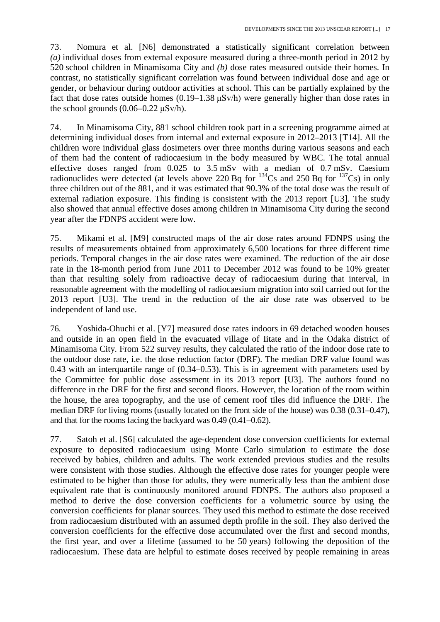73. Nomura et al. [N6] demonstrated a statistically significant correlation between *(a)* individual doses from external exposure measured during a three-month period in 2012 by 520 school children in Minamisoma City and *(b)* dose rates measured outside their homes. In contrast, no statistically significant correlation was found between individual dose and age or gender, or behaviour during outdoor activities at school. This can be partially explained by the fact that dose rates outside homes  $(0.19-1.38 \mu Sv/h)$  were generally higher than dose rates in the school grounds  $(0.06-0.22 \text{ }\mu\text{Sv/h})$ .

74. In Minamisoma City, 881 school children took part in a screening programme aimed at determining individual doses from internal and external exposure in 2012–2013 [T14]. All the children wore individual glass dosimeters over three months during various seasons and each of them had the content of radiocaesium in the body measured by WBC. The total annual effective doses ranged from 0.025 to 3.5 mSv with a median of 0.7 mSv. Caesium radionuclides were detected (at levels above 220 Bq for  $^{134}Cs$  and 250 Bq for  $^{137}Cs$ ) in only three children out of the 881, and it was estimated that 90.3% of the total dose was the result of external radiation exposure. This finding is consistent with the 2013 report [U3]. The study also showed that annual effective doses among children in Minamisoma City during the second year after the FDNPS accident were low.

75. Mikami et al. [M9] constructed maps of the air dose rates around FDNPS using the results of measurements obtained from approximately 6,500 locations for three different time periods. Temporal changes in the air dose rates were examined. The reduction of the air dose rate in the 18-month period from June 2011 to December 2012 was found to be 10% greater than that resulting solely from radioactive decay of radiocaesium during that interval, in reasonable agreement with the modelling of radiocaesium migration into soil carried out for the 2013 report [U3]. The trend in the reduction of the air dose rate was observed to be independent of land use.

76. Yoshida-Ohuchi et al. [Y7] measured dose rates indoors in 69 detached wooden houses and outside in an open field in the evacuated village of Iitate and in the Odaka district of Minamisoma City. From 522 survey results, they calculated the ratio of the indoor dose rate to the outdoor dose rate, i.e. the dose reduction factor (DRF). The median DRF value found was 0.43 with an interquartile range of (0.34–0.53). This is in agreement with parameters used by the Committee for public dose assessment in its 2013 report [U3]. The authors found no difference in the DRF for the first and second floors. However, the location of the room within the house, the area topography, and the use of cement roof tiles did influence the DRF. The median DRF for living rooms (usually located on the front side of the house) was 0.38 (0.31–0.47), and that for the rooms facing the backyard was 0.49 (0.41–0.62).

77. Satoh et al. [S6] calculated the age-dependent dose conversion coefficients for external exposure to deposited radiocaesium using Monte Carlo simulation to estimate the dose received by babies, children and adults. The work extended previous studies and the results were consistent with those studies. Although the effective dose rates for younger people were estimated to be higher than those for adults, they were numerically less than the ambient dose equivalent rate that is continuously monitored around FDNPS. The authors also proposed a method to derive the dose conversion coefficients for a volumetric source by using the conversion coefficients for planar sources. They used this method to estimate the dose received from radiocaesium distributed with an assumed depth profile in the soil. They also derived the conversion coefficients for the effective dose accumulated over the first and second months, the first year, and over a lifetime (assumed to be 50 years) following the deposition of the radiocaesium. These data are helpful to estimate doses received by people remaining in areas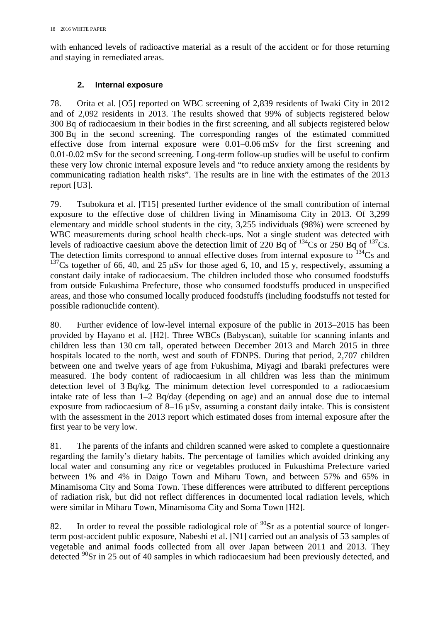with enhanced levels of radioactive material as a result of the accident or for those returning and staying in remediated areas.

#### **2. Internal exposure**

78. Orita et al. [O5] reported on WBC screening of 2,839 residents of Iwaki City in 2012 and of 2,092 residents in 2013. The results showed that 99% of subjects registered below 300 Bq of radiocaesium in their bodies in the first screening, and all subjects registered below 300 Bq in the second screening. The corresponding ranges of the estimated committed effective dose from internal exposure were 0.01–0.06 mSv for the first screening and 0.01-0.02 mSv for the second screening. Long-term follow-up studies will be useful to confirm these very low chronic internal exposure levels and "to reduce anxiety among the residents by communicating radiation health risks". The results are in line with the estimates of the 2013 report [U3].

79. Tsubokura et al. [T15] presented further evidence of the small contribution of internal exposure to the effective dose of children living in Minamisoma City in 2013. Of 3,299 elementary and middle school students in the city, 3,255 individuals (98%) were screened by WBC measurements during school health check-ups. Not a single student was detected with levels of radioactive caesium above the detection limit of 220  $\overline{Bq}$  of <sup>134</sup>Cs or 250 Bq of <sup>137</sup>Cs. The detection limits correspond to annual effective doses from internal exposure to  $^{134}Cs$  and <sup>137</sup>Cs together of 66, 40, and 25  $\mu$ Sv for those aged 6, 10, and 15 y, respectively, assuming a constant daily intake of radiocaesium. The children included those who consumed foodstuffs from outside Fukushima Prefecture, those who consumed foodstuffs produced in unspecified areas, and those who consumed locally produced foodstuffs (including foodstuffs not tested for possible radionuclide content).

80. Further evidence of low-level internal exposure of the public in 2013–2015 has been provided by Hayano et al. [H2]. Three WBCs (Babyscan), suitable for scanning infants and children less than 130 cm tall, operated between December 2013 and March 2015 in three hospitals located to the north, west and south of FDNPS. During that period, 2,707 children between one and twelve years of age from Fukushima, Miyagi and Ibaraki prefectures were measured. The body content of radiocaesium in all children was less than the minimum detection level of 3 Bq/kg. The minimum detection level corresponded to a radiocaesium intake rate of less than 1–2 Bq/day (depending on age) and an annual dose due to internal exposure from radiocaesium of 8–16 µSv, assuming a constant daily intake. This is consistent with the assessment in the 2013 report which estimated doses from internal exposure after the first year to be very low.

81. The parents of the infants and children scanned were asked to complete a questionnaire regarding the family's dietary habits. The percentage of families which avoided drinking any local water and consuming any rice or vegetables produced in Fukushima Prefecture varied between 1% and 4% in Daigo Town and Miharu Town, and between 57% and 65% in Minamisoma City and Soma Town. These differences were attributed to different perceptions of radiation risk, but did not reflect differences in documented local radiation levels, which were similar in Miharu Town, Minamisoma City and Soma Town [H2].

82. In order to reveal the possible radiological role of  $\rm{^{90}Sr}$  as a potential source of longerterm post-accident public exposure, Nabeshi et al. [N1] carried out an analysis of 53 samples of vegetable and animal foods collected from all over Japan between 2011 and 2013. They detected <sup>90</sup>Sr in 25 out of 40 samples in which radiocaesium had been previously detected, and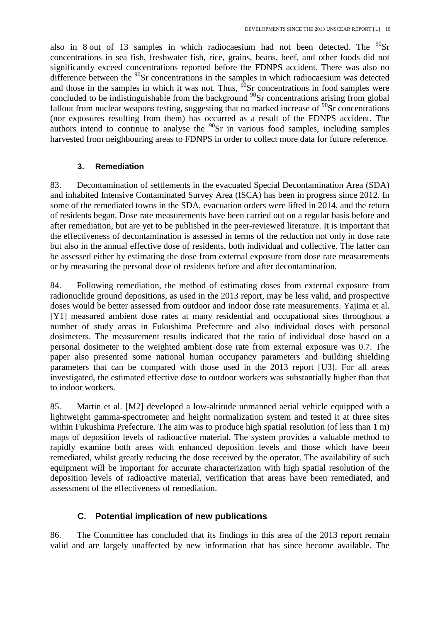also in 8 out of 13 samples in which radiocaesium had not been detected. The  $^{90}Sr$ concentrations in sea fish, freshwater fish, rice, grains, beans, beef, and other foods did not significantly exceed concentrations reported before the FDNPS accident. There was also no difference between the <sup>90</sup>Sr concentrations in the samples in which radiocaesium was detected and those in the samples in which it was not. Thus,  $\frac{\partial S}{\partial S}$  concentrations in food samples were concluded to be indistinguishable from the background  $90$ Sr concentrations arising from global fallout from nuclear weapons testing, suggesting that no marked increase of  $\frac{90}{9}$ Sr concentrations (nor exposures resulting from them) has occurred as a result of the FDNPS accident. The authors intend to continue to analyse the  $90$ Sr in various food samples, including samples harvested from neighbouring areas to FDNPS in order to collect more data for future reference.

#### **3. Remediation**

83. Decontamination of settlements in the evacuated Special Decontamination Area (SDA) and inhabited Intensive Contaminated Survey Area (ISCA) has been in progress since 2012. In some of the remediated towns in the SDA, evacuation orders were lifted in 2014, and the return of residents began. Dose rate measurements have been carried out on a regular basis before and after remediation, but are yet to be published in the peer-reviewed literature. It is important that the effectiveness of decontamination is assessed in terms of the reduction not only in dose rate but also in the annual effective dose of residents, both individual and collective. The latter can be assessed either by estimating the dose from external exposure from dose rate measurements or by measuring the personal dose of residents before and after decontamination.

84. Following remediation, the method of estimating doses from external exposure from radionuclide ground depositions, as used in the 2013 report, may be less valid, and prospective doses would be better assessed from outdoor and indoor dose rate measurements. Yajima et al. [Y1] measured ambient dose rates at many residential and occupational sites throughout a number of study areas in Fukushima Prefecture and also individual doses with personal dosimeters. The measurement results indicated that the ratio of individual dose based on a personal dosimeter to the weighted ambient dose rate from external exposure was 0.7. The paper also presented some national human occupancy parameters and building shielding parameters that can be compared with those used in the 2013 report [U3]. For all areas investigated, the estimated effective dose to outdoor workers was substantially higher than that to indoor workers.

85. Martin et al. [M2] developed a low-altitude unmanned aerial vehicle equipped with a lightweight gamma-spectrometer and height normalization system and tested it at three sites within Fukushima Prefecture. The aim was to produce high spatial resolution (of less than 1 m) maps of deposition levels of radioactive material. The system provides a valuable method to rapidly examine both areas with enhanced deposition levels and those which have been remediated, whilst greatly reducing the dose received by the operator. The availability of such equipment will be important for accurate characterization with high spatial resolution of the deposition levels of radioactive material, verification that areas have been remediated, and assessment of the effectiveness of remediation.

## **C. Potential implication of new publications**

86. The Committee has concluded that its findings in this area of the 2013 report remain valid and are largely unaffected by new information that has since become available. The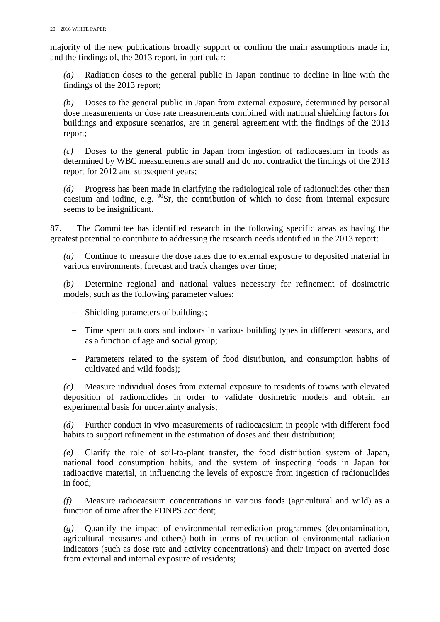majority of the new publications broadly support or confirm the main assumptions made in, and the findings of, the 2013 report, in particular:

*(a)* Radiation doses to the general public in Japan continue to decline in line with the findings of the 2013 report;

*(b)* Doses to the general public in Japan from external exposure, determined by personal dose measurements or dose rate measurements combined with national shielding factors for buildings and exposure scenarios, are in general agreement with the findings of the 2013 report;

*(c)* Doses to the general public in Japan from ingestion of radiocaesium in foods as determined by WBC measurements are small and do not contradict the findings of the 2013 report for 2012 and subsequent years;

*(d)* Progress has been made in clarifying the radiological role of radionuclides other than caesium and iodine, e.g.  $90$ Sr, the contribution of which to dose from internal exposure seems to be insignificant.

87. The Committee has identified research in the following specific areas as having the greatest potential to contribute to addressing the research needs identified in the 2013 report:

*(a)* Continue to measure the dose rates due to external exposure to deposited material in various environments, forecast and track changes over time;

*(b)* Determine regional and national values necessary for refinement of dosimetric models, such as the following parameter values:

- − Shielding parameters of buildings;
- − Time spent outdoors and indoors in various building types in different seasons, and as a function of age and social group;
- − Parameters related to the system of food distribution, and consumption habits of cultivated and wild foods);

*(c)* Measure individual doses from external exposure to residents of towns with elevated deposition of radionuclides in order to validate dosimetric models and obtain an experimental basis for uncertainty analysis;

*(d)* Further conduct in vivo measurements of radiocaesium in people with different food habits to support refinement in the estimation of doses and their distribution;

*(e)* Clarify the role of soil-to-plant transfer, the food distribution system of Japan, national food consumption habits, and the system of inspecting foods in Japan for radioactive material, in influencing the levels of exposure from ingestion of radionuclides in food;

*(f)* Measure radiocaesium concentrations in various foods (agricultural and wild) as a function of time after the FDNPS accident;

*(g)* Quantify the impact of environmental remediation programmes (decontamination, agricultural measures and others) both in terms of reduction of environmental radiation indicators (such as dose rate and activity concentrations) and their impact on averted dose from external and internal exposure of residents;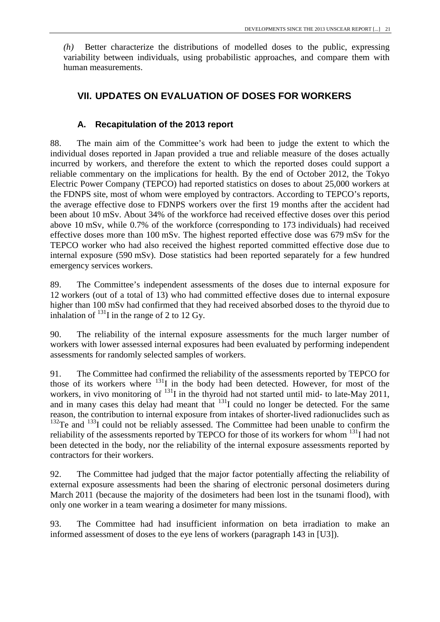<span id="page-28-0"></span>*(h)* Better characterize the distributions of modelled doses to the public, expressing variability between individuals, using probabilistic approaches, and compare them with human measurements.

## **VII. UPDATES ON EVALUATION OF DOSES FOR WORKERS**

#### **A. Recapitulation of the 2013 report**

88. The main aim of the Committee's work had been to judge the extent to which the individual doses reported in Japan provided a true and reliable measure of the doses actually incurred by workers, and therefore the extent to which the reported doses could support a reliable commentary on the implications for health. By the end of October 2012, the Tokyo Electric Power Company (TEPCO) had reported statistics on doses to about 25,000 workers at the FDNPS site, most of whom were employed by contractors. According to TEPCO's reports, the average effective dose to FDNPS workers over the first 19 months after the accident had been about 10 mSv. About 34% of the workforce had received effective doses over this period above 10 mSv, while 0.7% of the workforce (corresponding to 173 individuals) had received effective doses more than 100 mSv. The highest reported effective dose was 679 mSv for the TEPCO worker who had also received the highest reported committed effective dose due to internal exposure (590 mSv). Dose statistics had been reported separately for a few hundred emergency services workers.

89. The Committee's independent assessments of the doses due to internal exposure for 12 workers (out of a total of 13) who had committed effective doses due to internal exposure higher than 100 mSv had confirmed that they had received absorbed doses to the thyroid due to inhalation of  $^{131}$ I in the range of 2 to 12 Gy.

90. The reliability of the internal exposure assessments for the much larger number of workers with lower assessed internal exposures had been evaluated by performing independent assessments for randomly selected samples of workers.

91. The Committee had confirmed the reliability of the assessments reported by TEPCO for those of its workers where  $^{131}$ I in the body had been detected. However, for most of the workers, in vivo monitoring of  $^{131}$ I in the thyroid had not started until mid- to late-May 2011, and in many cases this delay had meant that  $131$  could no longer be detected. For the same reason, the contribution to internal exposure from intakes of shorter-lived radionuclides such as  $^{132}$ Te and  $^{133}$ I could not be reliably assessed. The Committee had been unable to confirm the reliability of the assessments reported by TEPCO for those of its workers for whom <sup>131</sup>I had not been detected in the body, nor the reliability of the internal exposure assessments reported by contractors for their workers.

92. The Committee had judged that the major factor potentially affecting the reliability of external exposure assessments had been the sharing of electronic personal dosimeters during March 2011 (because the majority of the dosimeters had been lost in the tsunami flood), with only one worker in a team wearing a dosimeter for many missions.

93. The Committee had had insufficient information on beta irradiation to make an informed assessment of doses to the eye lens of workers (paragraph 143 in [U3]).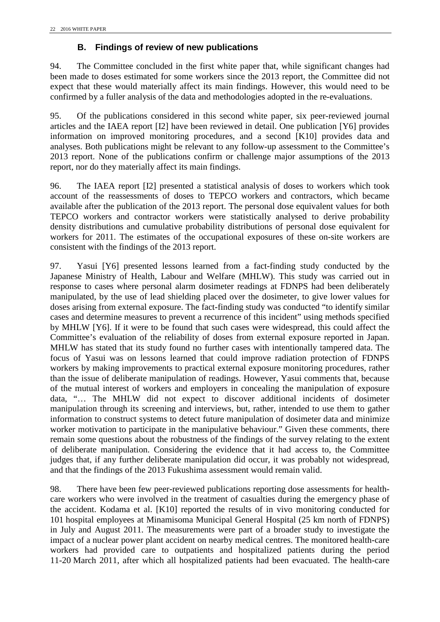## **B. Findings of review of new publications**

94. The Committee concluded in the first white paper that, while significant changes had been made to doses estimated for some workers since the 2013 report, the Committee did not expect that these would materially affect its main findings. However, this would need to be confirmed by a fuller analysis of the data and methodologies adopted in the re-evaluations.

95. Of the publications considered in this second white paper, six peer-reviewed journal articles and the IAEA report [I2] have been reviewed in detail. One publication [Y6] provides information on improved monitoring procedures, and a second [K10] provides data and analyses. Both publications might be relevant to any follow-up assessment to the Committee's 2013 report. None of the publications confirm or challenge major assumptions of the 2013 report, nor do they materially affect its main findings.

96. The IAEA report [I2] presented a statistical analysis of doses to workers which took account of the reassessments of doses to TEPCO workers and contractors, which became available after the publication of the 2013 report. The personal dose equivalent values for both TEPCO workers and contractor workers were statistically analysed to derive probability density distributions and cumulative probability distributions of personal dose equivalent for workers for 2011. The estimates of the occupational exposures of these on-site workers are consistent with the findings of the 2013 report.

97. Yasui [Y6] presented lessons learned from a fact-finding study conducted by the Japanese Ministry of Health, Labour and Welfare (MHLW). This study was carried out in response to cases where personal alarm dosimeter readings at FDNPS had been deliberately manipulated, by the use of lead shielding placed over the dosimeter, to give lower values for doses arising from external exposure. The fact-finding study was conducted "to identify similar cases and determine measures to prevent a recurrence of this incident" using methods specified by MHLW [Y6]. If it were to be found that such cases were widespread, this could affect the Committee's evaluation of the reliability of doses from external exposure reported in Japan. MHLW has stated that its study found no further cases with intentionally tampered data. The focus of Yasui was on lessons learned that could improve radiation protection of FDNPS workers by making improvements to practical external exposure monitoring procedures, rather than the issue of deliberate manipulation of readings. However, Yasui comments that, because of the mutual interest of workers and employers in concealing the manipulation of exposure data, "… The MHLW did not expect to discover additional incidents of dosimeter manipulation through its screening and interviews, but, rather, intended to use them to gather information to construct systems to detect future manipulation of dosimeter data and minimize worker motivation to participate in the manipulative behaviour." Given these comments, there remain some questions about the robustness of the findings of the survey relating to the extent of deliberate manipulation. Considering the evidence that it had access to, the Committee judges that, if any further deliberate manipulation did occur, it was probably not widespread, and that the findings of the 2013 Fukushima assessment would remain valid.

98. There have been few peer-reviewed publications reporting dose assessments for healthcare workers who were involved in the treatment of casualties during the emergency phase of the accident. Kodama et al. [K10] reported the results of in vivo monitoring conducted for 101 hospital employees at Minamisoma Municipal General Hospital (25 km north of FDNPS) in July and August 2011. The measurements were part of a broader study to investigate the impact of a nuclear power plant accident on nearby medical centres. The monitored health-care workers had provided care to outpatients and hospitalized patients during the period 11-20 March 2011, after which all hospitalized patients had been evacuated. The health-care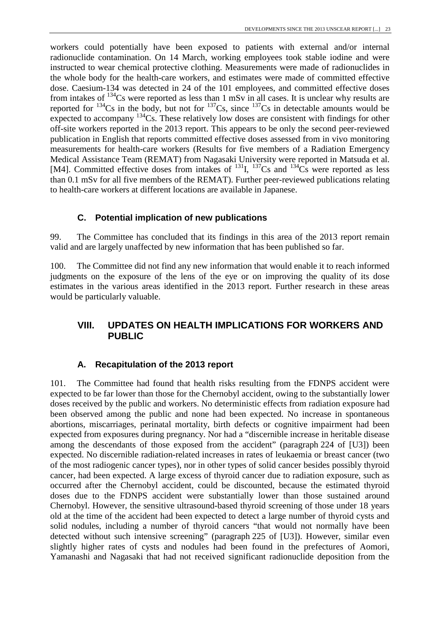workers could potentially have been exposed to patients with external and/or internal radionuclide contamination. On 14 March, working employees took stable iodine and were instructed to wear chemical protective clothing. Measurements were made of radionuclides in the whole body for the health-care workers, and estimates were made of committed effective dose. Caesium-134 was detected in 24 of the 101 employees, and committed effective doses from intakes of  $134$ Cs were reported as less than 1 mSv in all cases. It is unclear why results are reported for  $134$ Cs in the body, but not for  $137$ Cs, since  $137$ Cs in detectable amounts would be expected to accompany  $134$ Cs. These relatively low doses are consistent with findings for other off-site workers reported in the 2013 report. This appears to be only the second peer-reviewed publication in English that reports committed effective doses assessed from in vivo monitoring measurements for health-care workers (Results for five members of a Radiation Emergency Medical Assistance Team (REMAT) from Nagasaki University were reported in Matsuda et al. [M4]. Committed effective doses from intakes of  $^{131}$ I,  $^{137}$ Cs and  $^{134}$ Cs were reported as less than 0.1 mSv for all five members of the REMAT). Further peer-reviewed publications relating to health-care workers at different locations are available in Japanese.

#### **C. Potential implication of new publications**

99. The Committee has concluded that its findings in this area of the 2013 report remain valid and are largely unaffected by new information that has been published so far.

100. The Committee did not find any new information that would enable it to reach informed judgments on the exposure of the lens of the eye or on improving the quality of its dose estimates in the various areas identified in the 2013 report. Further research in these areas would be particularly valuable.

## <span id="page-30-0"></span>**VIII. UPDATES ON HEALTH IMPLICATIONS FOR WORKERS AND PUBLIC**

#### **A. Recapitulation of the 2013 report**

101. The Committee had found that health risks resulting from the FDNPS accident were expected to be far lower than those for the Chernobyl accident, owing to the substantially lower doses received by the public and workers. No deterministic effects from radiation exposure had been observed among the public and none had been expected. No increase in spontaneous abortions, miscarriages, perinatal mortality, birth defects or cognitive impairment had been expected from exposures during pregnancy. Nor had a "discernible increase in heritable disease among the descendants of those exposed from the accident" (paragraph 224 of [U3]) been expected. No discernible radiation-related increases in rates of leukaemia or breast cancer (two of the most radiogenic cancer types), nor in other types of solid cancer besides possibly thyroid cancer, had been expected. A large excess of thyroid cancer due to radiation exposure, such as occurred after the Chernobyl accident, could be discounted, because the estimated thyroid doses due to the FDNPS accident were substantially lower than those sustained around Chernobyl. However, the sensitive ultrasound-based thyroid screening of those under 18 years old at the time of the accident had been expected to detect a large number of thyroid cysts and solid nodules, including a number of thyroid cancers "that would not normally have been detected without such intensive screening" (paragraph 225 of [U3]). However, similar even slightly higher rates of cysts and nodules had been found in the prefectures of Aomori, Yamanashi and Nagasaki that had not received significant radionuclide deposition from the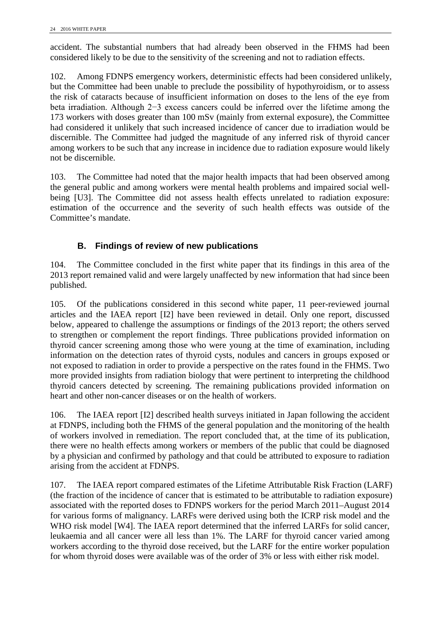accident. The substantial numbers that had already been observed in the FHMS had been considered likely to be due to the sensitivity of the screening and not to radiation effects.

102. Among FDNPS emergency workers, deterministic effects had been considered unlikely, but the Committee had been unable to preclude the possibility of hypothyroidism, or to assess the risk of cataracts because of insufficient information on doses to the lens of the eye from beta irradiation. Although 2−3 excess cancers could be inferred over the lifetime among the 173 workers with doses greater than 100 mSv (mainly from external exposure), the Committee had considered it unlikely that such increased incidence of cancer due to irradiation would be discernible. The Committee had judged the magnitude of any inferred risk of thyroid cancer among workers to be such that any increase in incidence due to radiation exposure would likely not be discernible.

103. The Committee had noted that the major health impacts that had been observed among the general public and among workers were mental health problems and impaired social wellbeing [U3]. The Committee did not assess health effects unrelated to radiation exposure: estimation of the occurrence and the severity of such health effects was outside of the Committee's mandate.

## **B. Findings of review of new publications**

104. The Committee concluded in the first white paper that its findings in this area of the 2013 report remained valid and were largely unaffected by new information that had since been published.

105. Of the publications considered in this second white paper, 11 peer-reviewed journal articles and the IAEA report [I2] have been reviewed in detail. Only one report, discussed below, appeared to challenge the assumptions or findings of the 2013 report; the others served to strengthen or complement the report findings. Three publications provided information on thyroid cancer screening among those who were young at the time of examination, including information on the detection rates of thyroid cysts, nodules and cancers in groups exposed or not exposed to radiation in order to provide a perspective on the rates found in the FHMS. Two more provided insights from radiation biology that were pertinent to interpreting the childhood thyroid cancers detected by screening. The remaining publications provided information on heart and other non-cancer diseases or on the health of workers.

106. The IAEA report [I2] described health surveys initiated in Japan following the accident at FDNPS, including both the FHMS of the general population and the monitoring of the health of workers involved in remediation. The report concluded that, at the time of its publication, there were no health effects among workers or members of the public that could be diagnosed by a physician and confirmed by pathology and that could be attributed to exposure to radiation arising from the accident at FDNPS.

107. The IAEA report compared estimates of the Lifetime Attributable Risk Fraction (LARF) (the fraction of the incidence of cancer that is estimated to be attributable to radiation exposure) associated with the reported doses to FDNPS workers for the period March 2011–August 2014 for various forms of malignancy. LARFs were derived using both the ICRP risk model and the WHO risk model [W4]. The IAEA report determined that the inferred LARFs for solid cancer, leukaemia and all cancer were all less than 1%. The LARF for thyroid cancer varied among workers according to the thyroid dose received, but the LARF for the entire worker population for whom thyroid doses were available was of the order of 3% or less with either risk model.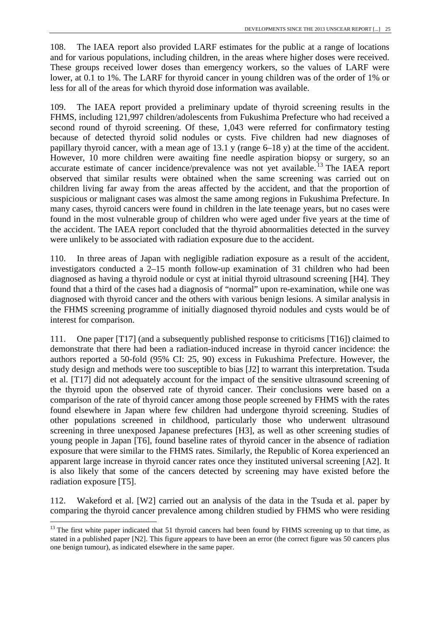108. The IAEA report also provided LARF estimates for the public at a range of locations and for various populations, including children, in the areas where higher doses were received. These groups received lower doses than emergency workers, so the values of LARF were lower, at 0.1 to 1%. The LARF for thyroid cancer in young children was of the order of 1% or less for all of the areas for which thyroid dose information was available.

109. The IAEA report provided a preliminary update of thyroid screening results in the FHMS, including 121,997 children/adolescents from Fukushima Prefecture who had received a second round of thyroid screening. Of these, 1,043 were referred for confirmatory testing because of detected thyroid solid nodules or cysts. Five children had new diagnoses of papillary thyroid cancer, with a mean age of 13.1 y (range 6–18 y) at the time of the accident. However, 10 more children were awaiting fine needle aspiration biopsy or surgery, so an accurate estimate of cancer incidence/prevalence was not yet available.<sup>[13](#page-32-0)</sup> The IAEA report observed that similar results were obtained when the same screening was carried out on children living far away from the areas affected by the accident, and that the proportion of suspicious or malignant cases was almost the same among regions in Fukushima Prefecture. In many cases, thyroid cancers were found in children in the late teenage years, but no cases were found in the most vulnerable group of children who were aged under five years at the time of the accident. The IAEA report concluded that the thyroid abnormalities detected in the survey were unlikely to be associated with radiation exposure due to the accident.

110. In three areas of Japan with negligible radiation exposure as a result of the accident, investigators conducted a 2–15 month follow-up examination of 31 children who had been diagnosed as having a thyroid nodule or cyst at initial thyroid ultrasound screening [H4]. They found that a third of the cases had a diagnosis of "normal" upon re-examination, while one was diagnosed with thyroid cancer and the others with various benign lesions. A similar analysis in the FHMS screening programme of initially diagnosed thyroid nodules and cysts would be of interest for comparison.

111. One paper [T17] (and a subsequently published response to criticisms [T16]) claimed to demonstrate that there had been a radiation-induced increase in thyroid cancer incidence: the authors reported a 50-fold (95% CI: 25, 90) excess in Fukushima Prefecture. However, the study design and methods were too susceptible to bias [J2] to warrant this interpretation. Tsuda et al. [T17] did not adequately account for the impact of the sensitive ultrasound screening of the thyroid upon the observed rate of thyroid cancer. Their conclusions were based on a comparison of the rate of thyroid cancer among those people screened by FHMS with the rates found elsewhere in Japan where few children had undergone thyroid screening. Studies of other populations screened in childhood, particularly those who underwent ultrasound screening in three unexposed Japanese prefectures [H3], as well as other screening studies of young people in Japan [T6], found baseline rates of thyroid cancer in the absence of radiation exposure that were similar to the FHMS rates. Similarly, the Republic of Korea experienced an apparent large increase in thyroid cancer rates once they instituted universal screening [A2]. It is also likely that some of the cancers detected by screening may have existed before the radiation exposure [T5].

112. Wakeford et al. [W2] carried out an analysis of the data in the Tsuda et al. paper by comparing the thyroid cancer prevalence among children studied by FHMS who were residing

<span id="page-32-0"></span><sup>&</sup>lt;sup>13</sup> The first white paper indicated that 51 thyroid cancers had been found by FHMS screening up to that time, as stated in a published paper [N2]. This figure appears to have been an error (the correct figure was 50 cancers plus one benign tumour), as indicated elsewhere in the same paper.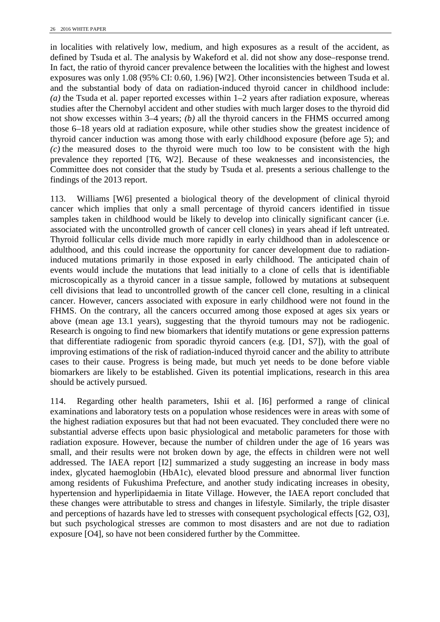in localities with relatively low, medium, and high exposures as a result of the accident, as defined by Tsuda et al. The analysis by Wakeford et al. did not show any dose–response trend. In fact, the ratio of thyroid cancer prevalence between the localities with the highest and lowest exposures was only 1.08 (95% CI: 0.60, 1.96) [W2]. Other inconsistencies between Tsuda et al. and the substantial body of data on radiation-induced thyroid cancer in childhood include: *(a)* the Tsuda et al. paper reported excesses within 1–2 years after radiation exposure, whereas studies after the Chernobyl accident and other studies with much larger doses to the thyroid did not show excesses within 3–4 years; *(b)* all the thyroid cancers in the FHMS occurred among those 6–18 years old at radiation exposure, while other studies show the greatest incidence of thyroid cancer induction was among those with early childhood exposure (before age 5); and *(c)* the measured doses to the thyroid were much too low to be consistent with the high prevalence they reported [T6, W2]. Because of these weaknesses and inconsistencies, the Committee does not consider that the study by Tsuda et al. presents a serious challenge to the findings of the 2013 report.

113. Williams [W6] presented a biological theory of the development of clinical thyroid cancer which implies that only a small percentage of thyroid cancers identified in tissue samples taken in childhood would be likely to develop into clinically significant cancer (i.e. associated with the uncontrolled growth of cancer cell clones) in years ahead if left untreated. Thyroid follicular cells divide much more rapidly in early childhood than in adolescence or adulthood, and this could increase the opportunity for cancer development due to radiationinduced mutations primarily in those exposed in early childhood. The anticipated chain of events would include the mutations that lead initially to a clone of cells that is identifiable microscopically as a thyroid cancer in a tissue sample, followed by mutations at subsequent cell divisions that lead to uncontrolled growth of the cancer cell clone, resulting in a clinical cancer. However, cancers associated with exposure in early childhood were not found in the FHMS. On the contrary, all the cancers occurred among those exposed at ages six years or above (mean age 13.1 years), suggesting that the thyroid tumours may not be radiogenic. Research is ongoing to find new biomarkers that identify mutations or gene expression patterns that differentiate radiogenic from sporadic thyroid cancers (e.g. [D1, S7]), with the goal of improving estimations of the risk of radiation-induced thyroid cancer and the ability to attribute cases to their cause. Progress is being made, but much yet needs to be done before viable biomarkers are likely to be established. Given its potential implications, research in this area should be actively pursued.

114. Regarding other health parameters, Ishii et al. [I6] performed a range of clinical examinations and laboratory tests on a population whose residences were in areas with some of the highest radiation exposures but that had not been evacuated. They concluded there were no substantial adverse effects upon basic physiological and metabolic parameters for those with radiation exposure. However, because the number of children under the age of 16 years was small, and their results were not broken down by age, the effects in children were not well addressed. The IAEA report [I2] summarized a study suggesting an increase in body mass index, glycated haemoglobin (HbA1c), elevated blood pressure and abnormal liver function among residents of Fukushima Prefecture, and another study indicating increases in obesity, hypertension and hyperlipidaemia in Iitate Village. However, the IAEA report concluded that these changes were attributable to stress and changes in lifestyle. Similarly, the triple disaster and perceptions of hazards have led to stresses with consequent psychological effects [G2, O3], but such psychological stresses are common to most disasters and are not due to radiation exposure [O4], so have not been considered further by the Committee.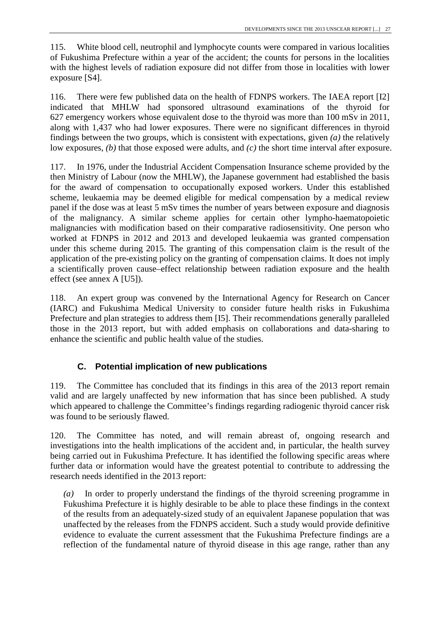115. White blood cell, neutrophil and lymphocyte counts were compared in various localities of Fukushima Prefecture within a year of the accident; the counts for persons in the localities with the highest levels of radiation exposure did not differ from those in localities with lower exposure [S4].

116. There were few published data on the health of FDNPS workers. The IAEA report [I2] indicated that MHLW had sponsored ultrasound examinations of the thyroid for 627 emergency workers whose equivalent dose to the thyroid was more than 100 mSv in 2011, along with 1,437 who had lower exposures. There were no significant differences in thyroid findings between the two groups, which is consistent with expectations, given *(a)* the relatively low exposures, *(b)* that those exposed were adults, and *(c)* the short time interval after exposure.

117. In 1976, under the Industrial Accident Compensation Insurance scheme provided by the then Ministry of Labour (now the MHLW), the Japanese government had established the basis for the award of compensation to occupationally exposed workers. Under this established scheme, leukaemia may be deemed eligible for medical compensation by a medical review panel if the dose was at least 5 mSv times the number of years between exposure and diagnosis of the malignancy. A similar scheme applies for certain other lympho-haematopoietic malignancies with modification based on their comparative radiosensitivity. One person who worked at FDNPS in 2012 and 2013 and developed leukaemia was granted compensation under this scheme during 2015. The granting of this compensation claim is the result of the application of the pre-existing policy on the granting of compensation claims. It does not imply a scientifically proven cause–effect relationship between radiation exposure and the health effect (see annex A [U5]).

118. An expert group was convened by the International Agency for Research on Cancer (IARC) and Fukushima Medical University to consider future health risks in Fukushima Prefecture and plan strategies to address them [I5]. Their recommendations generally paralleled those in the 2013 report, but with added emphasis on collaborations and data-sharing to enhance the scientific and public health value of the studies.

## **C. Potential implication of new publications**

119. The Committee has concluded that its findings in this area of the 2013 report remain valid and are largely unaffected by new information that has since been published. A study which appeared to challenge the Committee's findings regarding radiogenic thyroid cancer risk was found to be seriously flawed.

120. The Committee has noted, and will remain abreast of, ongoing research and investigations into the health implications of the accident and, in particular, the health survey being carried out in Fukushima Prefecture. It has identified the following specific areas where further data or information would have the greatest potential to contribute to addressing the research needs identified in the 2013 report:

*(a)* In order to properly understand the findings of the thyroid screening programme in Fukushima Prefecture it is highly desirable to be able to place these findings in the context of the results from an adequately-sized study of an equivalent Japanese population that was unaffected by the releases from the FDNPS accident. Such a study would provide definitive evidence to evaluate the current assessment that the Fukushima Prefecture findings are a reflection of the fundamental nature of thyroid disease in this age range, rather than any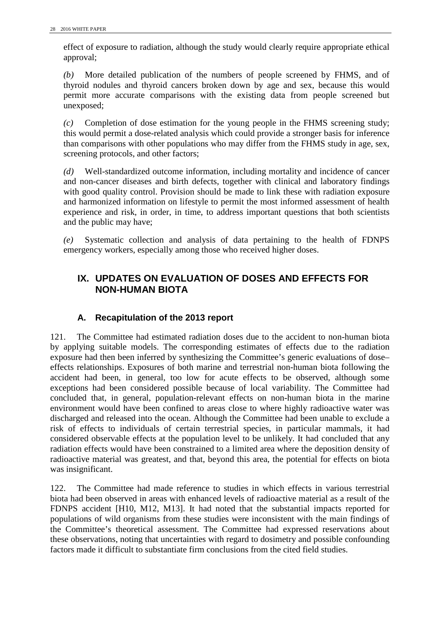effect of exposure to radiation, although the study would clearly require appropriate ethical approval;

*(b)* More detailed publication of the numbers of people screened by FHMS, and of thyroid nodules and thyroid cancers broken down by age and sex, because this would permit more accurate comparisons with the existing data from people screened but unexposed;

*(c)* Completion of dose estimation for the young people in the FHMS screening study; this would permit a dose-related analysis which could provide a stronger basis for inference than comparisons with other populations who may differ from the FHMS study in age, sex, screening protocols, and other factors;

*(d)* Well-standardized outcome information, including mortality and incidence of cancer and non-cancer diseases and birth defects, together with clinical and laboratory findings with good quality control. Provision should be made to link these with radiation exposure and harmonized information on lifestyle to permit the most informed assessment of health experience and risk, in order, in time, to address important questions that both scientists and the public may have;

<span id="page-35-0"></span>*(e)* Systematic collection and analysis of data pertaining to the health of FDNPS emergency workers, especially among those who received higher doses.

# **IX. UPDATES ON EVALUATION OF DOSES AND EFFECTS FOR NON-HUMAN BIOTA**

## **A. Recapitulation of the 2013 report**

121. The Committee had estimated radiation doses due to the accident to non-human biota by applying suitable models. The corresponding estimates of effects due to the radiation exposure had then been inferred by synthesizing the Committee's generic evaluations of dose– effects relationships. Exposures of both marine and terrestrial non-human biota following the accident had been, in general, too low for acute effects to be observed, although some exceptions had been considered possible because of local variability. The Committee had concluded that, in general, population-relevant effects on non-human biota in the marine environment would have been confined to areas close to where highly radioactive water was discharged and released into the ocean. Although the Committee had been unable to exclude a risk of effects to individuals of certain terrestrial species, in particular mammals, it had considered observable effects at the population level to be unlikely. It had concluded that any radiation effects would have been constrained to a limited area where the deposition density of radioactive material was greatest, and that, beyond this area, the potential for effects on biota was insignificant.

122. The Committee had made reference to studies in which effects in various terrestrial biota had been observed in areas with enhanced levels of radioactive material as a result of the FDNPS accident [H10, M12, M13]. It had noted that the substantial impacts reported for populations of wild organisms from these studies were inconsistent with the main findings of the Committee's theoretical assessment. The Committee had expressed reservations about these observations, noting that uncertainties with regard to dosimetry and possible confounding factors made it difficult to substantiate firm conclusions from the cited field studies.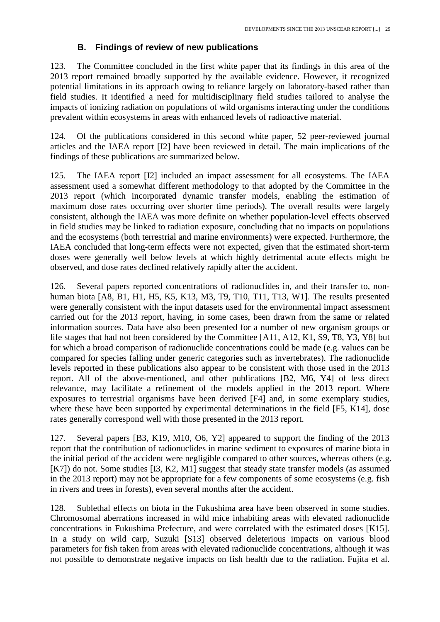#### **B. Findings of review of new publications**

123. The Committee concluded in the first white paper that its findings in this area of the 2013 report remained broadly supported by the available evidence. However, it recognized potential limitations in its approach owing to reliance largely on laboratory-based rather than field studies. It identified a need for multidisciplinary field studies tailored to analyse the impacts of ionizing radiation on populations of wild organisms interacting under the conditions prevalent within ecosystems in areas with enhanced levels of radioactive material.

124. Of the publications considered in this second white paper, 52 peer-reviewed journal articles and the IAEA report [I2] have been reviewed in detail. The main implications of the findings of these publications are summarized below.

125. The IAEA report [I2] included an impact assessment for all ecosystems. The IAEA assessment used a somewhat different methodology to that adopted by the Committee in the 2013 report (which incorporated dynamic transfer models, enabling the estimation of maximum dose rates occurring over shorter time periods). The overall results were largely consistent, although the IAEA was more definite on whether population-level effects observed in field studies may be linked to radiation exposure, concluding that no impacts on populations and the ecosystems (both terrestrial and marine environments) were expected. Furthermore, the IAEA concluded that long-term effects were not expected, given that the estimated short-term doses were generally well below levels at which highly detrimental acute effects might be observed, and dose rates declined relatively rapidly after the accident.

126. Several papers reported concentrations of radionuclides in, and their transfer to, nonhuman biota [A8, B1, H1, H5, K5, K13, M3, T9, T10, T11, T13, W1]. The results presented were generally consistent with the input datasets used for the environmental impact assessment carried out for the 2013 report, having, in some cases, been drawn from the same or related information sources. Data have also been presented for a number of new organism groups or life stages that had not been considered by the Committee [A11, A12, K1, S9, T8, Y3, Y8] but for which a broad comparison of radionuclide concentrations could be made (e.g. values can be compared for species falling under generic categories such as invertebrates). The radionuclide levels reported in these publications also appear to be consistent with those used in the 2013 report. All of the above-mentioned, and other publications [B2, M6, Y4] of less direct relevance, may facilitate a refinement of the models applied in the 2013 report. Where exposures to terrestrial organisms have been derived [F4] and, in some exemplary studies, where these have been supported by experimental determinations in the field [F5, K14], dose rates generally correspond well with those presented in the 2013 report.

127. Several papers [B3, K19, M10, O6, Y2] appeared to support the finding of the 2013 report that the contribution of radionuclides in marine sediment to exposures of marine biota in the initial period of the accident were negligible compared to other sources, whereas others (e.g. [K7]) do not. Some studies [I3, K2, M1] suggest that steady state transfer models (as assumed in the 2013 report) may not be appropriate for a few components of some ecosystems (e.g. fish in rivers and trees in forests), even several months after the accident.

128. Sublethal effects on biota in the Fukushima area have been observed in some studies. Chromosomal aberrations increased in wild mice inhabiting areas with elevated radionuclide concentrations in Fukushima Prefecture, and were correlated with the estimated doses [K15]. In a study on wild carp, Suzuki [S13] observed deleterious impacts on various blood parameters for fish taken from areas with elevated radionuclide concentrations, although it was not possible to demonstrate negative impacts on fish health due to the radiation. Fujita et al.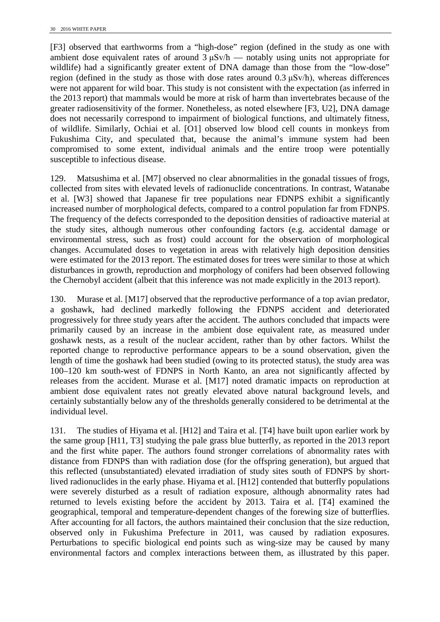[F3] observed that earthworms from a "high-dose" region (defined in the study as one with ambient dose equivalent rates of around  $3 \mu Sv/h$  — notably using units not appropriate for wildlife) had a significantly greater extent of DNA damage than those from the "low-dose" region (defined in the study as those with dose rates around 0.3 μSv/h), whereas differences were not apparent for wild boar. This study is not consistent with the expectation (as inferred in the 2013 report) that mammals would be more at risk of harm than invertebrates because of the greater radiosensitivity of the former. Nonetheless, as noted elsewhere [F3, U2], DNA damage does not necessarily correspond to impairment of biological functions, and ultimately fitness, of wildlife. Similarly, Ochiai et al. [O1] observed low blood cell counts in monkeys from Fukushima City, and speculated that, because the animal's immune system had been compromised to some extent, individual animals and the entire troop were potentially susceptible to infectious disease.

129. Matsushima et al. [M7] observed no clear abnormalities in the gonadal tissues of frogs, collected from sites with elevated levels of radionuclide concentrations. In contrast, Watanabe et al. [W3] showed that Japanese fir tree populations near FDNPS exhibit a significantly increased number of morphological defects, compared to a control population far from FDNPS. The frequency of the defects corresponded to the deposition densities of radioactive material at the study sites, although numerous other confounding factors (e.g. accidental damage or environmental stress, such as frost) could account for the observation of morphological changes. Accumulated doses to vegetation in areas with relatively high deposition densities were estimated for the 2013 report. The estimated doses for trees were similar to those at which disturbances in growth, reproduction and morphology of conifers had been observed following the Chernobyl accident (albeit that this inference was not made explicitly in the 2013 report).

130. Murase et al. [M17] observed that the reproductive performance of a top avian predator, a goshawk, had declined markedly following the FDNPS accident and deteriorated progressively for three study years after the accident. The authors concluded that impacts were primarily caused by an increase in the ambient dose equivalent rate, as measured under goshawk nests, as a result of the nuclear accident, rather than by other factors. Whilst the reported change to reproductive performance appears to be a sound observation, given the length of time the goshawk had been studied (owing to its protected status), the study area was 100–120 km south-west of FDNPS in North Kanto, an area not significantly affected by releases from the accident. Murase et al. [M17] noted dramatic impacts on reproduction at ambient dose equivalent rates not greatly elevated above natural background levels, and certainly substantially below any of the thresholds generally considered to be detrimental at the individual level.

131. The studies of Hiyama et al. [H12] and Taira et al. [T4] have built upon earlier work by the same group [H11, T3] studying the pale grass blue butterfly, as reported in the 2013 report and the first white paper. The authors found stronger correlations of abnormality rates with distance from FDNPS than with radiation dose (for the offspring generation), but argued that this reflected (unsubstantiated) elevated irradiation of study sites south of FDNPS by shortlived radionuclides in the early phase. Hiyama et al. [H12] contended that butterfly populations were severely disturbed as a result of radiation exposure, although abnormality rates had returned to levels existing before the accident by 2013. Taira et al. [T4] examined the geographical, temporal and temperature-dependent changes of the forewing size of butterflies. After accounting for all factors, the authors maintained their conclusion that the size reduction, observed only in Fukushima Prefecture in 2011, was caused by radiation exposures. Perturbations to specific biological end points such as wing-size may be caused by many environmental factors and complex interactions between them, as illustrated by this paper.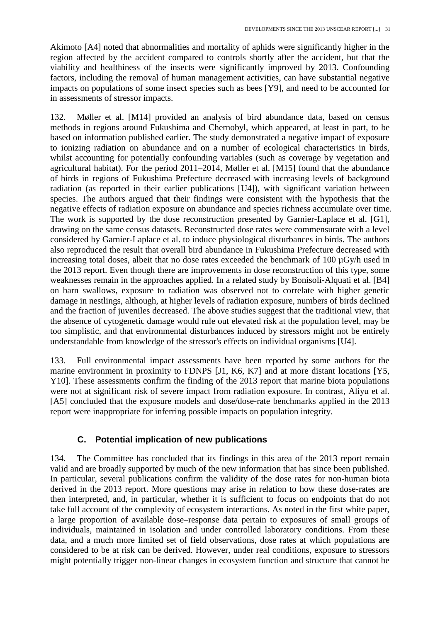Akimoto [A4] noted that abnormalities and mortality of aphids were significantly higher in the region affected by the accident compared to controls shortly after the accident, but that the viability and healthiness of the insects were significantly improved by 2013. Confounding factors, including the removal of human management activities, can have substantial negative impacts on populations of some insect species such as bees [Y9], and need to be accounted for in assessments of stressor impacts.

132. Møller et al. [M14] provided an analysis of bird abundance data, based on census methods in regions around Fukushima and Chernobyl, which appeared, at least in part, to be based on information published earlier. The study demonstrated a negative impact of exposure to ionizing radiation on abundance and on a number of ecological characteristics in birds, whilst accounting for potentially confounding variables (such as coverage by vegetation and agricultural habitat). For the period 2011–2014, Møller et al. [M15] found that the abundance of birds in regions of Fukushima Prefecture decreased with increasing levels of background radiation (as reported in their earlier publications [U4]), with significant variation between species. The authors argued that their findings were consistent with the hypothesis that the negative effects of radiation exposure on abundance and species richness accumulate over time. The work is supported by the dose reconstruction presented by Garnier-Laplace et al. [G1], drawing on the same census datasets. Reconstructed dose rates were commensurate with a level considered by Garnier-Laplace et al. to induce physiological disturbances in birds. The authors also reproduced the result that overall bird abundance in Fukushima Prefecture decreased with increasing total doses, albeit that no dose rates exceeded the benchmark of  $100 \mu Gy/h$  used in the 2013 report. Even though there are improvements in dose reconstruction of this type, some weaknesses remain in the approaches applied. In a related study by Bonisoli-Alquati et al. [B4] on barn swallows, exposure to radiation was observed not to correlate with higher genetic damage in nestlings, although, at higher levels of radiation exposure, numbers of birds declined and the fraction of juveniles decreased. The above studies suggest that the traditional view, that the absence of cytogenetic damage would rule out elevated risk at the population level, may be too simplistic, and that environmental disturbances induced by stressors might not be entirely understandable from knowledge of the stressor's effects on individual organisms [U4].

133. Full environmental impact assessments have been reported by some authors for the marine environment in proximity to FDNPS [J1, K6, K7] and at more distant locations [Y5, Y10]. These assessments confirm the finding of the 2013 report that marine biota populations were not at significant risk of severe impact from radiation exposure. In contrast, Aliyu et al. [A5] concluded that the exposure models and dose/dose-rate benchmarks applied in the 2013 report were inappropriate for inferring possible impacts on population integrity.

## **C. Potential implication of new publications**

134. The Committee has concluded that its findings in this area of the 2013 report remain valid and are broadly supported by much of the new information that has since been published. In particular, several publications confirm the validity of the dose rates for non-human biota derived in the 2013 report. More questions may arise in relation to how these dose-rates are then interpreted, and, in particular, whether it is sufficient to focus on endpoints that do not take full account of the complexity of ecosystem interactions. As noted in the first white paper, a large proportion of available dose–response data pertain to exposures of small groups of individuals, maintained in isolation and under controlled laboratory conditions. From these data, and a much more limited set of field observations, dose rates at which populations are considered to be at risk can be derived. However, under real conditions, exposure to stressors might potentially trigger non-linear changes in ecosystem function and structure that cannot be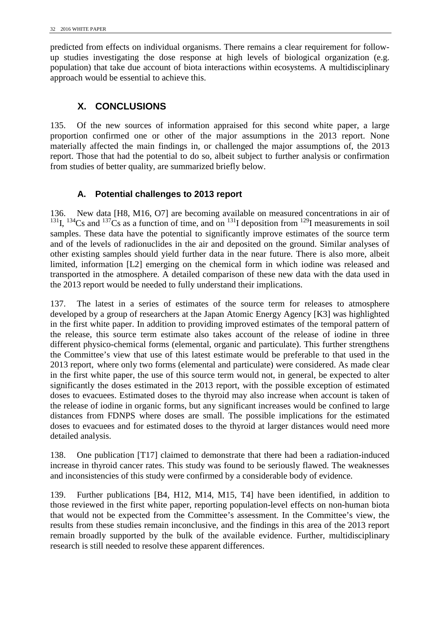predicted from effects on individual organisms. There remains a clear requirement for followup studies investigating the dose response at high levels of biological organization (e.g. population) that take due account of biota interactions within ecosystems. A multidisciplinary approach would be essential to achieve this.

## <span id="page-39-0"></span>**X. CONCLUSIONS**

135. Of the new sources of information appraised for this second white paper, a large proportion confirmed one or other of the major assumptions in the 2013 report. None materially affected the main findings in, or challenged the major assumptions of, the 2013 report. Those that had the potential to do so, albeit subject to further analysis or confirmation from studies of better quality, are summarized briefly below.

## **A. Potential challenges to 2013 report**

136. New data [H8, M16, O7] are becoming available on measured concentrations in air of <sup>131</sup>I, <sup>134</sup>Cs and <sup>137</sup>Cs as a function of time, and on <sup>131</sup>I deposition from <sup>129</sup>I measurements in soil samples. These data have the potential to significantly improve estimates of the source term and of the levels of radionuclides in the air and deposited on the ground. Similar analyses of other existing samples should yield further data in the near future. There is also more, albeit limited, information [L2] emerging on the chemical form in which iodine was released and transported in the atmosphere. A detailed comparison of these new data with the data used in the 2013 report would be needed to fully understand their implications.

137. The latest in a series of estimates of the source term for releases to atmosphere developed by a group of researchers at the Japan Atomic Energy Agency [K3] was highlighted in the first white paper. In addition to providing improved estimates of the temporal pattern of the release, this source term estimate also takes account of the release of iodine in three different physico-chemical forms (elemental, organic and particulate). This further strengthens the Committee's view that use of this latest estimate would be preferable to that used in the 2013 report, where only two forms (elemental and particulate) were considered. As made clear in the first white paper, the use of this source term would not, in general, be expected to alter significantly the doses estimated in the 2013 report, with the possible exception of estimated doses to evacuees. Estimated doses to the thyroid may also increase when account is taken of the release of iodine in organic forms, but any significant increases would be confined to large distances from FDNPS where doses are small. The possible implications for the estimated doses to evacuees and for estimated doses to the thyroid at larger distances would need more detailed analysis.

138. One publication [T17] claimed to demonstrate that there had been a radiation-induced increase in thyroid cancer rates. This study was found to be seriously flawed. The weaknesses and inconsistencies of this study were confirmed by a considerable body of evidence.

139. Further publications [B4, H12, M14, M15, T4] have been identified, in addition to those reviewed in the first white paper, reporting population-level effects on non-human biota that would not be expected from the Committee's assessment. In the Committee's view, the results from these studies remain inconclusive, and the findings in this area of the 2013 report remain broadly supported by the bulk of the available evidence. Further, multidisciplinary research is still needed to resolve these apparent differences.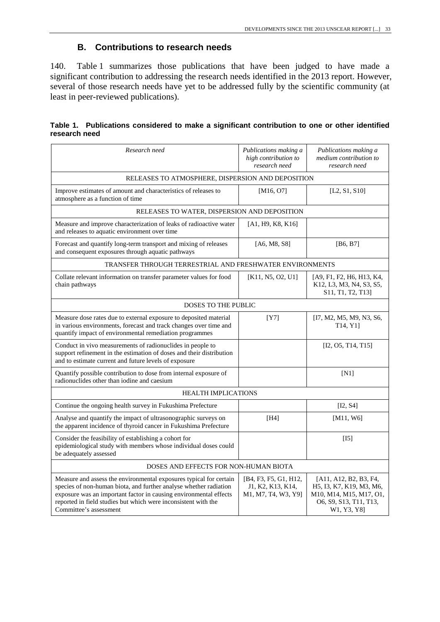#### **B. Contributions to research needs**

140. Table 1 summarizes those publications that have been judged to have made a significant contribution to addressing the research needs identified in the 2013 report. However, several of those research needs have yet to be addressed fully by the scientific community (at least in peer-reviewed publications).

|               | Table 1. Publications considered to make a significant contribution to one or other identified |  |  |  |
|---------------|------------------------------------------------------------------------------------------------|--|--|--|
| research need |                                                                                                |  |  |  |

| Research need                                                                                                                                                                                                                                                                                            | Publications making a<br>high contribution to<br>research need    | Publications making a<br>medium contribution to<br>research need                                                             |  |  |  |  |  |  |
|----------------------------------------------------------------------------------------------------------------------------------------------------------------------------------------------------------------------------------------------------------------------------------------------------------|-------------------------------------------------------------------|------------------------------------------------------------------------------------------------------------------------------|--|--|--|--|--|--|
| RELEASES TO ATMOSPHERE, DISPERSION AND DEPOSITION                                                                                                                                                                                                                                                        |                                                                   |                                                                                                                              |  |  |  |  |  |  |
| Improve estimates of amount and characteristics of releases to<br>atmosphere as a function of time                                                                                                                                                                                                       | [M16, 07]                                                         | [L2, S1, S10]                                                                                                                |  |  |  |  |  |  |
| RELEASES TO WATER, DISPERSION AND DEPOSITION                                                                                                                                                                                                                                                             |                                                                   |                                                                                                                              |  |  |  |  |  |  |
| Measure and improve characterization of leaks of radioactive water<br>and releases to aquatic environment over time                                                                                                                                                                                      | [A1, H9, K8, K16]                                                 |                                                                                                                              |  |  |  |  |  |  |
| Forecast and quantify long-term transport and mixing of releases<br>and consequent exposures through aquatic pathways                                                                                                                                                                                    | [A6, M8, S8]                                                      | $[B6, B7]$                                                                                                                   |  |  |  |  |  |  |
| TRANSFER THROUGH TERRESTRIAL AND FRESHWATER ENVIRONMENTS                                                                                                                                                                                                                                                 |                                                                   |                                                                                                                              |  |  |  |  |  |  |
| Collate relevant information on transfer parameter values for food<br>chain pathways                                                                                                                                                                                                                     | [K11, N5, O2, U1]                                                 | [A9, F1, F2, H6, H13, K4,<br>K12, L3, M3, N4, S3, S5,<br>S <sub>11</sub> , T <sub>1</sub> , T <sub>2</sub> , T <sub>13</sub> |  |  |  |  |  |  |
| <b>DOSES TO THE PUBLIC</b>                                                                                                                                                                                                                                                                               |                                                                   |                                                                                                                              |  |  |  |  |  |  |
| Measure dose rates due to external exposure to deposited material<br>in various environments, forecast and track changes over time and<br>quantify impact of environmental remediation programmes                                                                                                        | [Y7]                                                              | [I7, M2, M5, M9, N3, S6,<br>T <sub>14</sub> , Y <sub>1</sub>                                                                 |  |  |  |  |  |  |
| Conduct in vivo measurements of radionuclides in people to<br>support refinement in the estimation of doses and their distribution<br>and to estimate current and future levels of exposure                                                                                                              |                                                                   | [I2, 05, T14, T15]                                                                                                           |  |  |  |  |  |  |
| Quantify possible contribution to dose from internal exposure of<br>radionuclides other than iodine and caesium                                                                                                                                                                                          |                                                                   | [N1]                                                                                                                         |  |  |  |  |  |  |
| <b>HEALTH IMPLICATIONS</b>                                                                                                                                                                                                                                                                               |                                                                   |                                                                                                                              |  |  |  |  |  |  |
| Continue the ongoing health survey in Fukushima Prefecture                                                                                                                                                                                                                                               |                                                                   | [I2, S4]                                                                                                                     |  |  |  |  |  |  |
| Analyse and quantify the impact of ultrasonographic surveys on<br>the apparent incidence of thyroid cancer in Fukushima Prefecture                                                                                                                                                                       | [H4]                                                              | [M11, W6]                                                                                                                    |  |  |  |  |  |  |
| Consider the feasibility of establishing a cohort for<br>epidemiological study with members whose individual doses could<br>be adequately assessed                                                                                                                                                       |                                                                   | [15]                                                                                                                         |  |  |  |  |  |  |
| DOSES AND EFFECTS FOR NON-HUMAN BIOTA                                                                                                                                                                                                                                                                    |                                                                   |                                                                                                                              |  |  |  |  |  |  |
| Measure and assess the environmental exposures typical for certain<br>species of non-human biota, and further analyse whether radiation<br>exposure was an important factor in causing environmental effects<br>reported in field studies but which were inconsistent with the<br>Committee's assessment | [B4, F3, F5, G1, H12,<br>J1, K2, K13, K14,<br>M1, M7, T4, W3, Y9] | [A11, A12, B2, B3, F4,<br>H5, I3, K7, K19, M3, M6,<br>M10, M14, M15, M17, O1,<br>O6, S9, S13, T11, T13,<br>W1, Y3, Y8]       |  |  |  |  |  |  |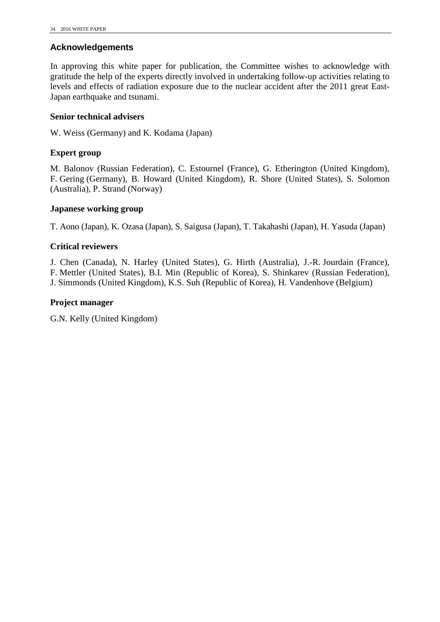#### <span id="page-41-0"></span>**Acknowledgements**

In approving this white paper for publication, the Committee wishes to acknowledge with gratitude the help of the experts directly involved in undertaking follow-up activities relating to levels and effects of radiation exposure due to the nuclear accident after the 2011 great East-Japan earthquake and tsunami.

#### **Senior technical advisers**

W. Weiss (Germany) and K. Kodama (Japan)

#### **Expert group**

M. Balonov (Russian Federation), C. Estournel (France), G. Etherington (United Kingdom), F. Gering (Germany), B. Howard (United Kingdom), R. Shore (United States), S. Solomon (Australia), P. Strand (Norway)

#### **Japanese working group**

T. Aono (Japan), K. Ozasa (Japan), S. Saigusa (Japan), T. Takahashi (Japan), H. Yasuda (Japan)

#### **Critical reviewers**

J. Chen (Canada), N. Harley (United States), G. Hirth (Australia), J.-R. Jourdain (France), F. Mettler (United States), B.I. Min (Republic of Korea), S. Shinkarev (Russian Federation), J. Simmonds (United Kingdom), K.S. Suh (Republic of Korea), H. Vandenhove (Belgium)

#### **Project manager**

G.N. Kelly (United Kingdom)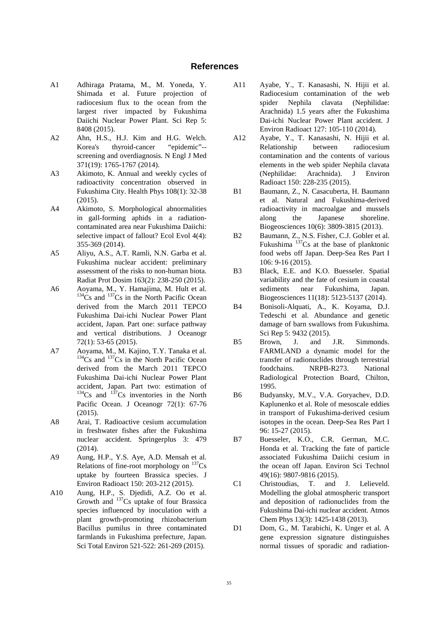#### **References**

- <span id="page-42-0"></span>A1 Adhiraga Pratama, M., M. Yoneda, Y. Shimada et al. Future projection of radiocesium flux to the ocean from the largest river impacted by Fukushima Daiichi Nuclear Power Plant. Sci Rep 5: 8408 (2015).
- A2 Ahn, H.S., H.J. Kim and H.G. Welch. Korea's thyroid-cancer "epidemic"- screening and overdiagnosis. N Engl J Med 371(19): 1765-1767 (2014).
- A3 Akimoto, K. Annual and weekly cycles of radioactivity concentration observed in Fukushima City. Health Phys 108(1): 32-38 (2015).
- A4 Akimoto, S. Morphological abnormalities in gall-forming aphids in a radiationcontaminated area near Fukushima Daiichi: selective impact of fallout? Ecol Evol 4(4): 355-369 (2014).
- A5 Aliyu, A.S., A.T. Ramli, N.N. Garba et al. Fukushima nuclear accident: preliminary assessment of the risks to non-human biota. Radiat Prot Dosim 163(2): 238-250 (2015).
- A6 Aoyama, M., Y. Hamajima, M. Hult et al.  $134$ Cs and  $137$ Cs in the North Pacific Ocean derived from the March 2011 TEPCO Fukushima Dai-ichi Nuclear Power Plant accident, Japan. Part one: surface pathway and vertical distributions. J Oceanogr 72(1): 53-65 (2015).
- A7 Aoyama, M., M. Kajino, T.Y. Tanaka et al.  $134Cs$  and  $137Cs$  in the North Pacific Ocean derived from the March 2011 TEPCO Fukushima Dai-ichi Nuclear Power Plant accident, Japan. Part two: estimation of  $134Cs$  and  $137Cs$  inventories in the North Pacific Ocean. J Oceanogr 72(1): 67-76 (2015).
- A8 Arai, T. Radioactive cesium accumulation in freshwater fishes after the Fukushima nuclear accident. Springerplus 3: 479 (2014).
- A9 Aung, H.P., Y.S. Aye, A.D. Mensah et al. Relations of fine-root morphology on  $137Cs$ uptake by fourteen Brassica species. J Environ Radioact 150: 203-212 (2015).
- A10 Aung, H.P., S. Djedidi, A.Z. Oo et al. Growth and <sup>137</sup>Cs uptake of four Brassica species influenced by inoculation with a plant growth-promoting rhizobacterium Bacillus pumilus in three contaminated farmlands in Fukushima prefecture, Japan. Sci Total Environ 521-522: 261-269 (2015).
- A11 Ayabe, Y., T. Kanasashi, N. Hijii et al. Radiocesium contamination of the web spider Nephila clavata (Nephilidae: Arachnida) 1.5 years after the Fukushima Dai-ichi Nuclear Power Plant accident. J Environ Radioact 127: 105-110 (2014).
- A12 Ayabe, Y., T. Kanasashi, N. Hijii et al. Relationship between radiocesium contamination and the contents of various elements in the web spider Nephila clavata (Nephilidae: Arachnida). J Environ Radioact 150: 228-235 (2015).
- B1 Baumann, Z., N. Casacuberta, H. Baumann et al. Natural and Fukushima-derived radioactivity in macroalgae and mussels along the Japanese shoreline. Biogeosciences 10(6): 3809-3815 (2013).
- B2 Baumann, Z., N.S. Fisher, C.J. Gobler et al. Fukushima  $137$ Cs at the base of planktonic food webs off Japan. Deep-Sea Res Part I 106: 9-16 (2015).
- B3 Black, E.E. and K.O. Buesseler. Spatial variability and the fate of cesium in coastal sediments near Fukushima, Japan. Biogeosciences 11(18): 5123-5137 (2014).
- B4 Bonisoli-Alquati, A., K. Koyama, D.J. Tedeschi et al. Abundance and genetic damage of barn swallows from Fukushima. Sci Rep 5: 9432 (2015).
- B5 Brown, J. and J.R. Simmonds. FARMLAND a dynamic model for the transfer of radionuclides through terrestrial foodchains. NRPB-R273. National Radiological Protection Board, Chilton, 1995.
- B6 Budyansky, M.V., V.A. Goryachev, D.D. Kaplunenko et al. Role of mesoscale eddies in transport of Fukushima-derived cesium isotopes in the ocean. Deep-Sea Res Part I 96: 15-27 (2015).
- B7 Buesseler, K.O., C.R. German, M.C. Honda et al. Tracking the fate of particle associated Fukushima Daiichi cesium in the ocean off Japan. Environ Sci Technol 49(16): 9807-9816 (2015).<br>Christoudias, T. and
- C1 Christoudias, T. and J. Lelieveld. Modelling the global atmospheric transport and deposition of radionuclides from the Fukushima Dai-ichi nuclear accident. Atmos Chem Phys 13(3): 1425-1438 (2013).
- D1 Dom, G., M. Tarabichi, K. Unger et al. A gene expression signature distinguishes normal tissues of sporadic and radiation-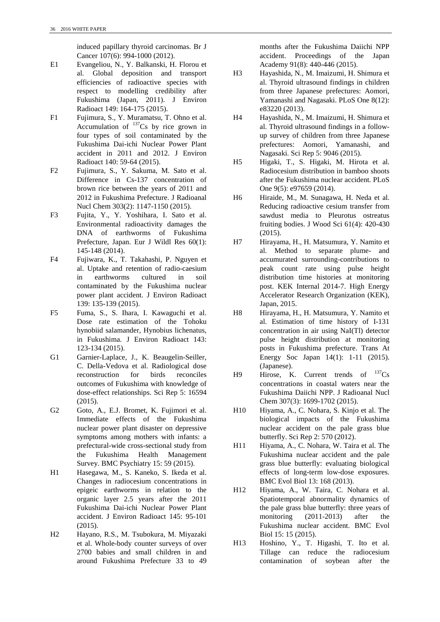induced papillary thyroid carcinomas. Br J Cancer 107(6): 994-1000 (2012).

- E1 Evangeliou, N., Y. Balkanski, H. Florou et al. Global deposition and transport efficiencies of radioactive species with respect to modelling credibility after Fukushima (Japan, 2011). J Environ Radioact 149: 164-175 (2015).
- F1 Fujimura, S., Y. Muramatsu, T. Ohno et al. Accumulation of  $137$ Cs by rice grown in four types of soil contaminated by the Fukushima Dai-ichi Nuclear Power Plant accident in 2011 and 2012. J Environ Radioact 140: 59-64 (2015).
- F2 Fujimura, S., Y. Sakuma, M. Sato et al. Difference in Cs-137 concentration of brown rice between the years of 2011 and 2012 in Fukushima Prefecture. J Radioanal Nucl Chem 303(2): 1147-1150 (2015).
- F3 Fujita, Y., Y. Yoshihara, I. Sato et al. Environmental radioactivity damages the DNA of earthworms of Fukushima Prefecture, Japan. Eur J Wildl Res 60(1): 145-148 (2014).
- F4 Fujiwara, K., T. Takahashi, P. Nguyen et al. Uptake and retention of radio-caesium in earthworms cultured in soil contaminated by the Fukushima nuclear power plant accident. J Environ Radioact 139: 135-139 (2015).
- F5 Fuma, S., S. Ihara, I. Kawaguchi et al. Dose rate estimation of the Tohoku hynobiid salamander, Hynobius lichenatus, in Fukushima. J Environ Radioact 143: 123-134 (2015).
- G1 Garnier-Laplace, J., K. Beaugelin-Seiller, C. Della-Vedova et al. Radiological dose reconstruction for birds reconciles outcomes of Fukushima with knowledge of dose-effect relationships. Sci Rep 5: 16594 (2015).
- G2 Goto, A., E.J. Bromet, K. Fujimori et al. Immediate effects of the Fukushima nuclear power plant disaster on depressive symptoms among mothers with infants: a prefectural-wide cross-sectional study from the Fukushima Health Management Survey. BMC Psychiatry 15: 59 (2015).
- H1 Hasegawa, M., S. Kaneko, S. Ikeda et al. Changes in radiocesium concentrations in epigeic earthworms in relation to the organic layer 2.5 years after the 2011 Fukushima Dai-ichi Nuclear Power Plant accident. J Environ Radioact 145: 95-101 (2015).
- H2 Hayano, R.S., M. Tsubokura, M. Miyazaki et al. Whole-body counter surveys of over 2700 babies and small children in and around Fukushima Prefecture 33 to 49

months after the Fukushima Daiichi NPP accident. Proceedings of the Japan Academy 91(8): 440-446 (2015).

- H3 Hayashida, N., M. Imaizumi, H. Shimura et al. Thyroid ultrasound findings in children from three Japanese prefectures: Aomori, Yamanashi and Nagasaki. PLoS One 8(12): e83220 (2013).
- H4 Hayashida, N., M. Imaizumi, H. Shimura et al. Thyroid ultrasound findings in a followup survey of children from three Japanese prefectures: Aomori, Yamanashi, and Nagasaki. Sci Rep 5: 9046 (2015).
- H5 Higaki, T., S. Higaki, M. Hirota et al. Radiocesium distribution in bamboo shoots after the Fukushima nuclear accident. PLoS One 9(5): e97659 (2014).
- H6 Hiraide, M., M. Sunagawa, H. Neda et al. Reducing radioactive cesium transfer from sawdust media to Pleurotus ostreatus fruiting bodies. J Wood Sci 61(4): 420-430 (2015).
- H7 Hirayama, H., H. Matsumura, Y. Namito et al. Method to separate plume- and accumurated surrounding-contributions to peak count rate using pulse height distribution time histories at monitoring post. KEK Internal 2014-7. High Energy Accelerator Research Organization (KEK), Japan, 2015.
- H8 Hirayama, H., H. Matsumura, Y. Namito et al. Estimation of time history of I-131 concentration in air using NaI(Tl) detector pulse height distribution at monitoring posts in Fukushima prefecture. Trans At Energy Soc Japan 14(1): 1-11 (2015). (Japanese).
- H9 Hirose, K. Current trends of  $^{137}Cs$ concentrations in coastal waters near the Fukushima Daiichi NPP. J Radioanal Nucl Chem 307(3): 1699-1702 (2015).
- H10 Hiyama, A., C. Nohara, S. Kinjo et al. The biological impacts of the Fukushima nuclear accident on the pale grass blue butterfly. Sci Rep 2: 570 (2012).
- H11 Hiyama, A., C. Nohara, W. Taira et al. The Fukushima nuclear accident and the pale grass blue butterfly: evaluating biological effects of long-term low-dose exposures. BMC Evol Biol 13: 168 (2013).
- H12 Hiyama, A., W. Taira, C. Nohara et al. Spatiotemporal abnormality dynamics of the pale grass blue butterfly: three years of monitoring (2011-2013) after the Fukushima nuclear accident. BMC Evol Biol 15: 15 (2015).
- H13 Hoshino, Y., T. Higashi, T. Ito et al. Tillage can reduce the radiocesium contamination of soybean after the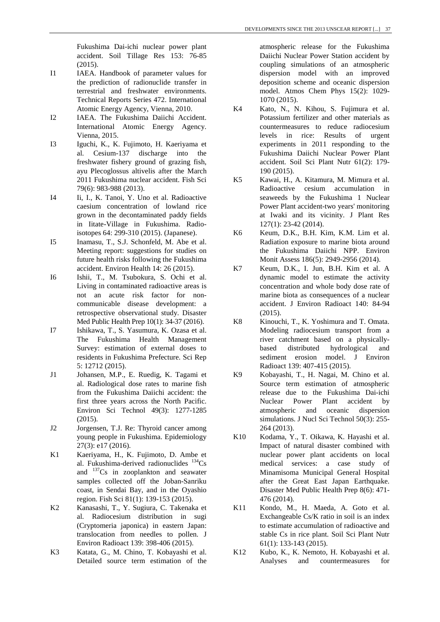Fukushima Dai-ichi nuclear power plant accident. Soil Tillage Res 153: 76-85 (2015).

- I1 IAEA. Handbook of parameter values for the prediction of radionuclide transfer in terrestrial and freshwater environments. Technical Reports Series 472. International Atomic Energy Agency, Vienna, 2010.
- I2 IAEA. The Fukushima Daiichi Accident. International Atomic Energy Agency. Vienna, 2015.
- I3 Iguchi, K., K. Fujimoto, H. Kaeriyama et al. Cesium-137 discharge into the freshwater fishery ground of grazing fish, ayu Plecoglossus altivelis after the March 2011 Fukushima nuclear accident. Fish Sci 79(6): 983-988 (2013).
- I4 Ii, I., K. Tanoi, Y. Uno et al. Radioactive caesium concentration of lowland rice grown in the decontaminated paddy fields in Iitate-Village in Fukushima. Radioisotopes 64: 299-310 (2015). (Japanese).
- I5 Inamasu, T., S.J. Schonfeld, M. Abe et al. Meeting report: suggestions for studies on future health risks following the Fukushima accident. Environ Health 14: 26 (2015).
- I6 Ishii, T., M. Tsubokura, S. Ochi et al. Living in contaminated radioactive areas is not an acute risk factor for noncommunicable disease development: a retrospective observational study. Disaster Med Public Health Prep 10(1): 34-37 (2016).
- I7 Ishikawa, T., S. Yasumura, K. Ozasa et al. The Fukushima Health Management Survey: estimation of external doses to residents in Fukushima Prefecture. Sci Rep 5: 12712 (2015).
- J1 Johansen, M.P., E. Ruedig, K. Tagami et al. Radiological dose rates to marine fish from the Fukushima Daiichi accident: the first three years across the North Pacific. Environ Sci Technol 49(3): 1277-1285 (2015).
- J2 Jorgensen, T.J. Re: Thyroid cancer among young people in Fukushima. Epidemiology 27(3): e17 (2016).
- K1 Kaeriyama, H., K. Fujimoto, D. Ambe et al. Fukushima-derived radionuclides  $^{134}Cs$ and 137Cs in zooplankton and seawater samples collected off the Joban-Sanriku coast, in Sendai Bay, and in the Oyashio region. Fish Sci 81(1): 139-153 (2015).
- K2 Kanasashi, T., Y. Sugiura, C. Takenaka et al. Radiocesium distribution in sugi (Cryptomeria japonica) in eastern Japan: translocation from needles to pollen. J Environ Radioact 139: 398-406 (2015).
- K3 Katata, G., M. Chino, T. Kobayashi et al. Detailed source term estimation of the

atmospheric release for the Fukushima Daiichi Nuclear Power Station accident by coupling simulations of an atmospheric dispersion model with an improved deposition scheme and oceanic dispersion model. Atmos Chem Phys 15(2): 1029- 1070 (2015).

- K4 Kato, N., N. Kihou, S. Fujimura et al. Potassium fertilizer and other materials as countermeasures to reduce radiocesium levels in rice: Results of urgent experiments in 2011 responding to the Fukushima Daiichi Nuclear Power Plant accident. Soil Sci Plant Nutr 61(2): 179- 190 (2015).
- K5 Kawai, H., A. Kitamura, M. Mimura et al. Radioactive cesium accumulation in seaweeds by the Fukushima 1 Nuclear Power Plant accident-two years' monitoring at Iwaki and its vicinity. J Plant Res 127(1): 23-42 (2014).
- K6 Keum, D.K., B.H. Kim, K.M. Lim et al. Radiation exposure to marine biota around the Fukushima Daiichi NPP. Environ Monit Assess 186(5): 2949-2956 (2014).
- K7 Keum, D.K., I. Jun, B.H. Kim et al. A dynamic model to estimate the activity concentration and whole body dose rate of marine biota as consequences of a nuclear accident. J Environ Radioact 140: 84-94 (2015).
- K8 Kinouchi, T., K. Yoshimura and T. Omata. Modeling radiocesium transport from a river catchment based on a physicallybased distributed hydrological and sediment erosion model. J Environ Radioact 139: 407-415 (2015).
- K9 Kobayashi, T., H. Nagai, M. Chino et al. Source term estimation of atmospheric release due to the Fukushima Dai-ichi Nuclear Power Plant accident by atmospheric and oceanic dispersion simulations. J Nucl Sci Technol 50(3): 255- 264 (2013).
- K10 Kodama, Y., T. Oikawa, K. Hayashi et al. Impact of natural disaster combined with nuclear power plant accidents on local medical services: a case study of Minamisoma Municipal General Hospital after the Great East Japan Earthquake. Disaster Med Public Health Prep 8(6): 471- 476 (2014).
- K11 Kondo, M., H. Maeda, A. Goto et al. Exchangeable Cs/K ratio in soil is an index to estimate accumulation of radioactive and stable Cs in rice plant. Soil Sci Plant Nutr 61(1): 133-143 (2015).
- K12 Kubo, K., K. Nemoto, H. Kobayashi et al. Analyses and countermeasures for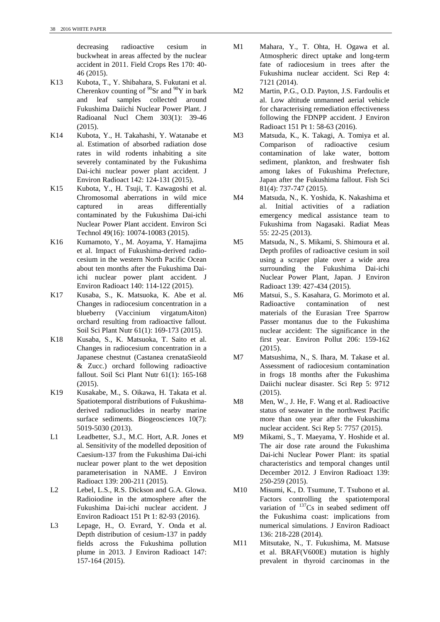decreasing radioactive cesium in buckwheat in areas affected by the nuclear accident in 2011. Field Crops Res 170: 40- 46 (2015).

- K13 Kubota, T., Y. Shibahara, S. Fukutani et al. Cherenkov counting of  $90Sr$  and  $90Y$  in bark and leaf samples collected around Fukushima Daiichi Nuclear Power Plant. J Radioanal Nucl Chem 303(1): 39-46 (2015).
- K14 Kubota, Y., H. Takahashi, Y. Watanabe et al. Estimation of absorbed radiation dose rates in wild rodents inhabiting a site severely contaminated by the Fukushima Dai-ichi nuclear power plant accident. J Environ Radioact 142: 124-131 (2015).
- K15 Kubota, Y., H. Tsuji, T. Kawagoshi et al. Chromosomal aberrations in wild mice captured in areas differentially contaminated by the Fukushima Dai-ichi Nuclear Power Plant accident. Environ Sci Technol 49(16): 10074-10083 (2015).
- K16 Kumamoto, Y., M. Aoyama, Y. Hamajima et al. Impact of Fukushima-derived radiocesium in the western North Pacific Ocean about ten months after the Fukushima Daiichi nuclear power plant accident. J Environ Radioact 140: 114-122 (2015).
- K17 Kusaba, S., K. Matsuoka, K. Abe et al. Changes in radiocesium concentration in a blueberry (Vaccinium virgatumAiton) orchard resulting from radioactive fallout. Soil Sci Plant Nutr 61(1): 169-173 (2015).
- K18 Kusaba, S., K. Matsuoka, T. Saito et al. Changes in radiocesium concentration in a Japanese chestnut (Castanea crenataSieold & Zucc.) orchard following radioactive fallout. Soil Sci Plant Nutr 61(1): 165-168 (2015).
- K19 Kusakabe, M., S. Oikawa, H. Takata et al. Spatiotemporal distributions of Fukushimaderived radionuclides in nearby marine surface sediments. Biogeosciences 10(7): 5019-5030 (2013).
- L1 Leadbetter, S.J., M.C. Hort, A.R. Jones et al. Sensitivity of the modelled deposition of Caesium-137 from the Fukushima Dai-ichi nuclear power plant to the wet deposition parameterisation in NAME. J Environ Radioact 139: 200-211 (2015).
- L<sub>2</sub> Lebel, L.S., R.S. Dickson and G.A. Glowa. Radioiodine in the atmosphere after the Fukushima Dai-ichi nuclear accident. J Environ Radioact 151 Pt 1: 82-93 (2016).
- L3 Lepage, H., O. Evrard, Y. Onda et al. Depth distribution of cesium-137 in paddy fields across the Fukushima pollution plume in 2013. J Environ Radioact 147: 157-164 (2015).
- M1 Mahara, Y., T. Ohta, H. Ogawa et al. Atmospheric direct uptake and long-term fate of radiocesium in trees after the Fukushima nuclear accident. Sci Rep 4: 7121 (2014).
- M2 Martin, P.G., O.D. Payton, J.S. Fardoulis et al. Low altitude unmanned aerial vehicle for characterising remediation effectiveness following the FDNPP accident. J Environ Radioact 151 Pt 1: 58-63 (2016).
- M3 Matsuda, K., K. Takagi, A. Tomiya et al. Comparison of radioactive cesium contamination of lake water, bottom sediment, plankton, and freshwater fish among lakes of Fukushima Prefecture, Japan after the Fukushima fallout. Fish Sci 81(4): 737-747 (2015).
- M4 Matsuda, N., K. Yoshida, K. Nakashima et al. Initial activities of a radiation emergency medical assistance team to Fukushima from Nagasaki. Radiat Meas 55: 22-25 (2013).
- M5 Matsuda, N., S. Mikami, S. Shimoura et al. Depth profiles of radioactive cesium in soil using a scraper plate over a wide area surrounding the Fukushima Dai-ichi Nuclear Power Plant, Japan. J Environ Radioact 139: 427-434 (2015).
- M6 Matsui, S., S. Kasahara, G. Morimoto et al. Radioactive contamination of nest materials of the Eurasian Tree Sparrow Passer montanus due to the Fukushima nuclear accident: The significance in the first year. Environ Pollut 206: 159-162 (2015).
- M7 Matsushima, N., S. Ihara, M. Takase et al. Assessment of radiocesium contamination in frogs 18 months after the Fukushima Daiichi nuclear disaster. Sci Rep 5: 9712 (2015).
- M8 Men, W., J. He, F. Wang et al. Radioactive status of seawater in the northwest Pacific more than one year after the Fukushima nuclear accident. Sci Rep 5: 7757 (2015).
- M9 Mikami, S., T. Maeyama, Y. Hoshide et al. The air dose rate around the Fukushima Dai-ichi Nuclear Power Plant: its spatial characteristics and temporal changes until December 2012. J Environ Radioact 139: 250-259 (2015).
- M10 Misumi, K., D. Tsumune, T. Tsubono et al. Factors controlling the spatiotemporal variation of  $137Cs$  in seabed sediment off the Fukushima coast: implications from numerical simulations. J Environ Radioact 136: 218-228 (2014).
- M11 Mitsutake, N., T. Fukushima, M. Matsuse et al. BRAF(V600E) mutation is highly prevalent in thyroid carcinomas in the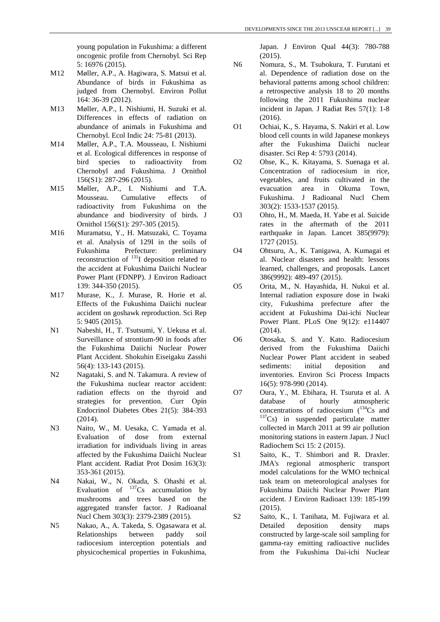young population in Fukushima: a different oncogenic profile from Chernobyl. Sci Rep 5: 16976 (2015).

- M12 Møller, A.P., A. Hagiwara, S. Matsui et al. Abundance of birds in Fukushima as judged from Chernobyl. Environ Pollut 164: 36-39 (2012).
- M13 Møller, A.P., I. Nishiumi, H. Suzuki et al. Differences in effects of radiation on abundance of animals in Fukushima and Chernobyl. Ecol Indic 24: 75-81 (2013).
- M14 Møller, A.P., T.A. Mousseau, I. Nishiumi et al. Ecological differences in response of bird species to radioactivity from Chernobyl and Fukushima. J Ornithol 156(S1): 287-296 (2015).
- M15 Møller, A.P., I. Nishiumi and T.A. Mousseau. Cumulative effects of radioactivity from Fukushima on the abundance and biodiversity of birds. J Ornithol 156(S1): 297-305 (2015).
- M16 Muramatsu, Y., H. Matsuzaki, C. Toyama et al. Analysis of 129I in the soils of Fukushima Prefecture: preliminary reconstruction of  $^{131}I$  deposition related to the accident at Fukushima Daiichi Nuclear Power Plant (FDNPP). J Environ Radioact 139: 344-350 (2015).
- M17 Murase, K., J. Murase, R. Horie et al. Effects of the Fukushima Daiichi nuclear accident on goshawk reproduction. Sci Rep 5: 9405 (2015).
- N1 Nabeshi, H., T. Tsutsumi, Y. Uekusa et al. Surveillance of strontium-90 in foods after the Fukushima Daiichi Nuclear Power Plant Accident. Shokuhin Eiseigaku Zasshi 56(4): 133-143 (2015).
- N2 Nagataki, S. and N. Takamura. A review of the Fukushima nuclear reactor accident: radiation effects on the thyroid and strategies for prevention. Curr Opin Endocrinol Diabetes Obes 21(5): 384-393 (2014).
- N3 Naito, W., M. Uesaka, C. Yamada et al. Evaluation of dose from external irradiation for individuals living in areas affected by the Fukushima Daiichi Nuclear Plant accident. Radiat Prot Dosim 163(3): 353-361 (2015).
- N4 Nakai, W., N. Okada, S. Ohashi et al. Evaluation of  $137Cs$  accumulation by mushrooms and trees based on the aggregated transfer factor. J Radioanal Nucl Chem 303(3): 2379-2389 (2015).
- N5 Nakao, A., A. Takeda, S. Ogasawara et al. Relationships between paddy soil radiocesium interception potentials and physicochemical properties in Fukushima,

Japan. J Environ Qual 44(3): 780-788 (2015).

- N6 Nomura, S., M. Tsubokura, T. Furutani et al. Dependence of radiation dose on the behavioral patterns among school children: a retrospective analysis 18 to 20 months following the 2011 Fukushima nuclear incident in Japan. J Radiat Res 57(1): 1-8 (2016).
- O1 Ochiai, K., S. Hayama, S. Nakiri et al. Low blood cell counts in wild Japanese monkeys after the Fukushima Daiichi nuclear disaster. Sci Rep 4: 5793 (2014).
- O2 Ohse, K., K. Kitayama, S. Suenaga et al. Concentration of radiocesium in rice, vegetables, and fruits cultivated in the evacuation area in Okuma Town, Fukushima. J Radioanal Nucl Chem 303(2): 1533-1537 (2015).
- O3 Ohto, H., M. Maeda, H. Yabe et al. Suicide rates in the aftermath of the 2011 earthquake in Japan. Lancet 385(9979): 1727 (2015).
- O4 Ohtsuru, A., K. Tanigawa, A. Kumagai et al. Nuclear disasters and health: lessons learned, challenges, and proposals. Lancet 386(9992): 489-497 (2015).
- O5 Orita, M., N. Hayashida, H. Nukui et al. Internal radiation exposure dose in Iwaki city, Fukushima prefecture after the accident at Fukushima Dai-ichi Nuclear Power Plant. PLoS One 9(12): e114407 (2014).
- O6 Otosaka, S. and Y. Kato. Radiocesium derived from the Fukushima Daiichi Nuclear Power Plant accident in seabed sediments: initial deposition and inventories. Environ Sci Process Impacts 16(5): 978-990 (2014).
- O7 Oura, Y., M. Ebihara, H. Tsuruta et al. A database of hourly atmospheric<br>concentrations of radiocesium  $(^{134}Cs$  and  $^{137}Cs$  in suspended particulate matter collected in March 2011 at 99 air pollution monitoring stations in eastern Japan. J Nucl Radiochem Sci 15: 2 (2015).
- S1 Saito, K., T. Shimbori and R. Draxler. JMA's regional atmospheric transport model calculations for the WMO technical task team on meteorological analyses for Fukushima Daiichi Nuclear Power Plant accident. J Environ Radioact 139: 185-199 (2015).
- S2 Saito, K., I. Tanihata, M. Fujiwara et al.<br>Detailed deposition density maps deposition density maps constructed by large-scale soil sampling for gamma-ray emitting radioactive nuclides from the Fukushima Dai-ichi Nuclear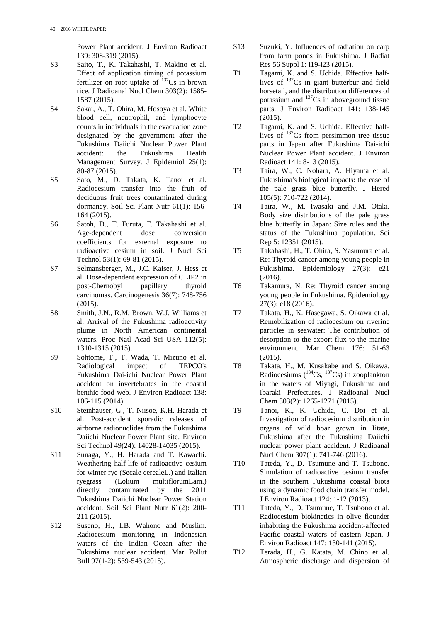Power Plant accident. J Environ Radioact 139: 308-319 (2015).

- S3 Saito, T., K. Takahashi, T. Makino et al. Effect of application timing of potassium fertilizer on root uptake of  $137Cs$  in brown rice. J Radioanal Nucl Chem 303(2): 1585- 1587 (2015).
- S4 Sakai, A., T. Ohira, M. Hosoya et al. White blood cell, neutrophil, and lymphocyte counts in individuals in the evacuation zone designated by the government after the Fukushima Daiichi Nuclear Power Plant accident: the Fukushima Health Management Survey. J Epidemiol 25(1): 80-87 (2015).
- S5 Sato, M., D. Takata, K. Tanoi et al. Radiocesium transfer into the fruit of deciduous fruit trees contaminated during dormancy. Soil Sci Plant Nutr 61(1): 156- 164 (2015).
- S6 Satoh, D., T. Furuta, F. Takahashi et al. Age-dependent dose conversion coefficients for external exposure to radioactive cesium in soil. J Nucl Sci Technol 53(1): 69-81 (2015).
- S7 Selmansberger, M., J.C. Kaiser, J. Hess et al. Dose-dependent expression of CLIP2 in post-Chernobyl papillary thyroid carcinomas. Carcinogenesis 36(7): 748-756 (2015).
- S8 Smith, J.N., R.M. Brown, W.J. Williams et al. Arrival of the Fukushima radioactivity plume in North American continental waters. Proc Natl Acad Sci USA 112(5): 1310-1315 (2015).
- S9 Sohtome, T., T. Wada, T. Mizuno et al. Radiological impact of TEPCO's Fukushima Dai-ichi Nuclear Power Plant accident on invertebrates in the coastal benthic food web. J Environ Radioact 138: 106-115 (2014).
- S10 Steinhauser, G., T. Niisoe, K.H. Harada et al. Post-accident sporadic releases of airborne radionuclides from the Fukushima Daiichi Nuclear Power Plant site. Environ Sci Technol 49(24): 14028-14035 (2015).
- S11 Sunaga, Y., H. Harada and T. Kawachi. Weathering half-life of radioactive cesium for winter rye (Secale cerealeL.) and Italian ryegrass (Lolium multiflorumLam.) directly contaminated by the 2011 Fukushima Daiichi Nuclear Power Station accident. Soil Sci Plant Nutr 61(2): 200- 211 (2015).
- S12 Suseno, H., I.B. Wahono and Muslim. Radiocesium monitoring in Indonesian waters of the Indian Ocean after the Fukushima nuclear accident. Mar Pollut Bull 97(1-2): 539-543 (2015).
- S13 Suzuki, Y. Influences of radiation on carp from farm ponds in Fukushima. J Radiat Res 56 Suppl 1: i19-i23 (2015).
- T1 Tagami, K. and S. Uchida. Effective halflives of 137Cs in giant butterbur and field horsetail, and the distribution differences of potassium and  $137Cs$  in aboveground tissue parts. J Environ Radioact 141: 138-145 (2015).
- T2 Tagami, K. and S. Uchida. Effective halflives of  $137$ Cs from persimmon tree tissue parts in Japan after Fukushima Dai-ichi Nuclear Power Plant accident. J Environ Radioact 141: 8-13 (2015).
- T3 Taira, W., C. Nohara, A. Hiyama et al. Fukushima's biological impacts: the case of the pale grass blue butterfly. J Hered 105(5): 710-722 (2014).
- T4 Taira, W., M. Iwasaki and J.M. Otaki. Body size distributions of the pale grass blue butterfly in Japan: Size rules and the status of the Fukushima population. Sci Rep 5: 12351 (2015).
- T5 Takahashi, H., T. Ohira, S. Yasumura et al. Re: Thyroid cancer among young people in Fukushima. Epidemiology 27(3): e21 (2016).
- T6 Takamura, N. Re: Thyroid cancer among young people in Fukushima. Epidemiology 27(3): e18 (2016).
- T7 Takata, H., K. Hasegawa, S. Oikawa et al. Remobilization of radiocesium on riverine particles in seawater: The contribution of desorption to the export flux to the marine environment. Mar Chem 176: 51-63 (2015).
- T8 Takata, H., M. Kusakabe and S. Oikawa. Radiocesiums ( $^{134}Cs$ ,  $^{137}Cs$ ) in zooplankton in the waters of Miyagi, Fukushima and Ibaraki Prefectures. J Radioanal Nucl Chem 303(2): 1265-1271 (2015).
- T9 Tanoi, K., K. Uchida, C. Doi et al. Investigation of radiocesium distribution in organs of wild boar grown in Iitate, Fukushima after the Fukushima Daiichi nuclear power plant accident. J Radioanal Nucl Chem 307(1): 741-746 (2016).
- T10 Tateda, Y., D. Tsumune and T. Tsubono. Simulation of radioactive cesium transfer in the southern Fukushima coastal biota using a dynamic food chain transfer model. J Environ Radioact 124: 1-12 (2013).
- T11 Tateda, Y., D. Tsumune, T. Tsubono et al. Radiocesium biokinetics in olive flounder inhabiting the Fukushima accident-affected Pacific coastal waters of eastern Japan. J Environ Radioact 147: 130-141 (2015).
- T12 Terada, H., G. Katata, M. Chino et al. Atmospheric discharge and dispersion of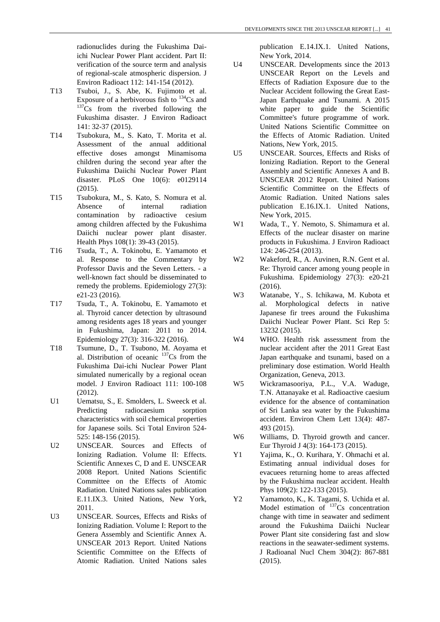radionuclides during the Fukushima Daiichi Nuclear Power Plant accident. Part II: verification of the source term and analysis of regional-scale atmospheric dispersion. J Environ Radioact 112: 141-154 (2012).

- T13 Tsuboi, J., S. Abe, K. Fujimoto et al. Exposure of a herbivorous fish to  $^{134}Cs$  and  $^{137}Cs$  from the riverbed following the Fukushima disaster. J Environ Radioact 141: 32-37 (2015).
- T14 Tsubokura, M., S. Kato, T. Morita et al. Assessment of the annual additional effective doses amongst Minamisoma children during the second year after the Fukushima Daiichi Nuclear Power Plant disaster. PLoS One 10(6): e0129114 (2015).
- T15 Tsubokura, M., S. Kato, S. Nomura et al. Absence of internal radiation contamination by radioactive cesium among children affected by the Fukushima Daiichi nuclear power plant disaster. Health Phys 108(1): 39-43 (2015).
- T16 Tsuda, T., A. Tokinobu, E. Yamamoto et al. Response to the Commentary by Professor Davis and the Seven Letters. - a well-known fact should be disseminated to remedy the problems. Epidemiology 27(3): e21-23 (2016).
- T17 Tsuda, T., A. Tokinobu, E. Yamamoto et al. Thyroid cancer detection by ultrasound among residents ages 18 years and younger in Fukushima, Japan: 2011 to 2014. Epidemiology 27(3): 316-322 (2016).
- T18 Tsumune, D., T. Tsubono, M. Aoyama et al. Distribution of oceanic  $137Cs$  from the Fukushima Dai-ichi Nuclear Power Plant simulated numerically by a regional ocean model. J Environ Radioact 111: 100-108 (2012).
- U1 Uematsu, S., E. Smolders, L. Sweeck et al. Predicting radiocaesium sorption characteristics with soil chemical properties for Japanese soils. Sci Total Environ 524- 525: 148-156 (2015).
- U2 UNSCEAR. Sources and Effects of Ionizing Radiation. Volume II: Effects. Scientific Annexes C, D and E. UNSCEAR 2008 Report. United Nations Scientific Committee on the Effects of Atomic Radiation. United Nations sales publication E.11.IX.3. United Nations, New York, 2011.
- U3 UNSCEAR. Sources, Effects and Risks of Ionizing Radiation. Volume I: Report to the Genera Assembly and Scientific Annex A. UNSCEAR 2013 Report. United Nations Scientific Committee on the Effects of Atomic Radiation. United Nations sales

publication E.14.IX.1. United Nations, New York, 2014.

- U4 UNSCEAR. Developments since the 2013 UNSCEAR Report on the Levels and Effects of Radiation Exposure due to the Nuclear Accident following the Great East-Japan Earthquake and Tsunami. A 2015 white paper to guide the Scientific Committee's future programme of work. United Nations Scientific Committee on the Effects of Atomic Radiation. United Nations, New York, 2015.
- U5 UNSCEAR. Sources, Effects and Risks of Ionizing Radiation. Report to the General Assembly and Scientific Annexes A and B. UNSCEAR 2012 Report. United Nations Scientific Committee on the Effects of Atomic Radiation. United Nations sales publication E.16.IX.1. United Nations, New York, 2015.
- W<sub>1</sub> Wada, T., Y. Nemoto, S. Shimamura et al. Effects of the nuclear disaster on marine products in Fukushima. J Environ Radioact 124: 246-254 (2013).
- W2 Wakeford, R., A. Auvinen, R.N. Gent et al. Re: Thyroid cancer among young people in Fukushima. Epidemiology 27(3): e20-21 (2016).
- W3 Watanabe, Y., S. Ichikawa, M. Kubota et al. Morphological defects in native Japanese fir trees around the Fukushima Daiichi Nuclear Power Plant. Sci Rep 5: 13232 (2015).
- W4 WHO. Health risk assessment from the nuclear accident after the 2011 Great East Japan earthquake and tsunami, based on a preliminary dose estimation. World Health Organization, Geneva, 2013.
- W5 Wickramasooriya, P.L., V.A. Waduge, T.N. Attanayake et al. Radioactive caesium evidence for the absence of contamination of Sri Lanka sea water by the Fukushima accident. Environ Chem Lett 13(4): 487- 493 (2015).
- W<sub>6</sub> Williams, D. Thyroid growth and cancer. Eur Thyroid J 4(3): 164-173 (2015).
- Y1 Yajima, K., O. Kurihara, Y. Ohmachi et al. Estimating annual individual doses for evacuees returning home to areas affected by the Fukushima nuclear accident. Health Phys 109(2): 122-133 (2015).
- Y2 Yamamoto, K., K. Tagami, S. Uchida et al. Model estimation of  $137$ Cs concentration change with time in seawater and sediment around the Fukushima Daiichi Nuclear Power Plant site considering fast and slow reactions in the seawater-sediment systems. J Radioanal Nucl Chem 304(2): 867-881 (2015).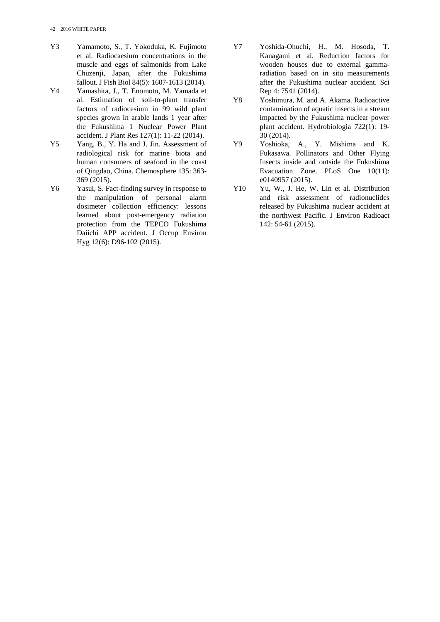- Y3 Yamamoto, S., T. Yokoduka, K. Fujimoto et al. Radiocaesium concentrations in the muscle and eggs of salmonids from Lake Chuzenji, Japan, after the Fukushima fallout. J Fish Biol 84(5): 1607-1613 (2014).
- Y4 Yamashita, J., T. Enomoto, M. Yamada et al. Estimation of soil-to-plant transfer factors of radiocesium in 99 wild plant species grown in arable lands 1 year after the Fukushima 1 Nuclear Power Plant accident. J Plant Res 127(1): 11-22 (2014).
- Y5 Yang, B., Y. Ha and J. Jin. Assessment of radiological risk for marine biota and human consumers of seafood in the coast of Qingdao, China. Chemosphere 135: 363- 369 (2015).
- Y6 Yasui, S. Fact-finding survey in response to the manipulation of personal alarm dosimeter collection efficiency: lessons learned about post-emergency radiation protection from the TEPCO Fukushima Daiichi APP accident. J Occup Environ Hyg 12(6): D96-102 (2015).
- Y7 Yoshida-Ohuchi, H., M. Hosoda, T. Kanagami et al. Reduction factors for wooden houses due to external gammaradiation based on in situ measurements after the Fukushima nuclear accident. Sci Rep 4: 7541 (2014).
- Y8 Yoshimura, M. and A. Akama. Radioactive contamination of aquatic insects in a stream impacted by the Fukushima nuclear power plant accident. Hydrobiologia 722(1): 19- 30 (2014).
- Y9 Yoshioka, A., Y. Mishima and K. Fukasawa. Pollinators and Other Flying Insects inside and outside the Fukushima Evacuation Zone. PLoS One 10(11): e0140957 (2015).
- Y10 Yu, W., J. He, W. Lin et al. Distribution and risk assessment of radionuclides released by Fukushima nuclear accident at the northwest Pacific. J Environ Radioact 142: 54-61 (2015).